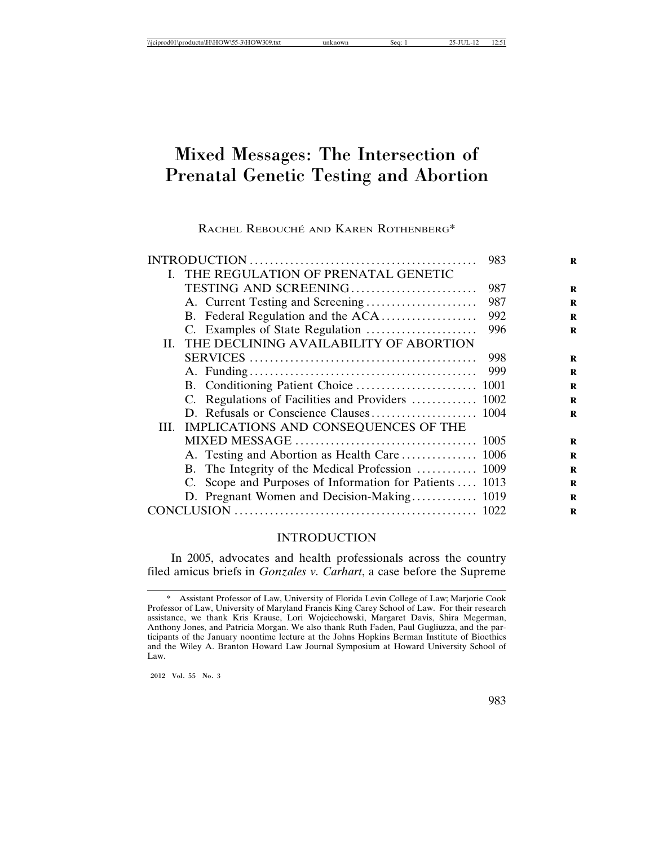# Mixed Messages: The Intersection of Prenatal Genetic Testing and Abortion

RACHEL REBOUCHÉ AND KAREN ROTHENBERG\*

|    |                                                         | 983 |
|----|---------------------------------------------------------|-----|
|    | I. THE REGULATION OF PRENATAL GENETIC                   |     |
|    | TESTING AND SCREENING                                   | 987 |
|    |                                                         | 987 |
|    | B. Federal Regulation and the ACA                       | 992 |
|    | C. Examples of State Regulation                         | 996 |
|    | II. THE DECLINING AVAILABILITY OF ABORTION              |     |
|    |                                                         | 998 |
|    |                                                         | 999 |
|    |                                                         |     |
|    | C. Regulations of Facilities and Providers  1002        |     |
|    |                                                         |     |
| Ш. | IMPLICATIONS AND CONSEQUENCES OF THE                    |     |
|    |                                                         |     |
|    |                                                         |     |
|    | B. The Integrity of the Medical Profession  1009        |     |
|    | C. Scope and Purposes of Information for Patients  1013 |     |
|    |                                                         |     |
|    |                                                         |     |

#### INTRODUCTION

In 2005, advocates and health professionals across the country filed amicus briefs in *Gonzales v. Carhart*, a case before the Supreme

<sup>\*</sup> Assistant Professor of Law, University of Florida Levin College of Law; Marjorie Cook Professor of Law, University of Maryland Francis King Carey School of Law. For their research assistance, we thank Kris Krause, Lori Wojciechowski, Margaret Davis, Shira Megerman, Anthony Jones, and Patricia Morgan. We also thank Ruth Faden, Paul Gugliuzza, and the participants of the January noontime lecture at the Johns Hopkins Berman Institute of Bioethics and the Wiley A. Branton Howard Law Journal Symposium at Howard University School of Law.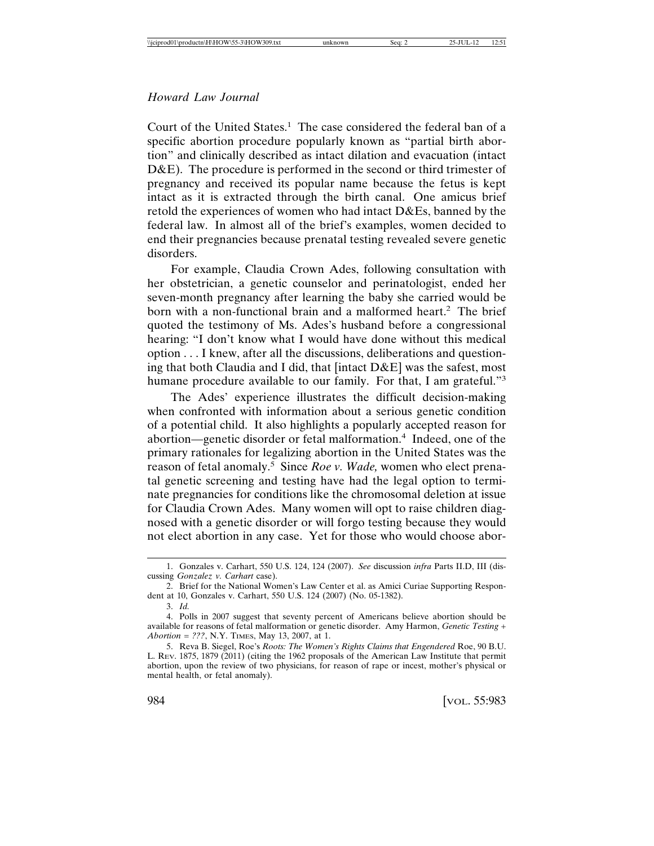Court of the United States.<sup>1</sup> The case considered the federal ban of a specific abortion procedure popularly known as "partial birth abortion" and clinically described as intact dilation and evacuation (intact D&E). The procedure is performed in the second or third trimester of pregnancy and received its popular name because the fetus is kept intact as it is extracted through the birth canal. One amicus brief retold the experiences of women who had intact D&Es, banned by the federal law. In almost all of the brief's examples, women decided to end their pregnancies because prenatal testing revealed severe genetic disorders.

For example, Claudia Crown Ades, following consultation with her obstetrician, a genetic counselor and perinatologist, ended her seven-month pregnancy after learning the baby she carried would be born with a non-functional brain and a malformed heart.<sup>2</sup> The brief quoted the testimony of Ms. Ades's husband before a congressional hearing: "I don't know what I would have done without this medical option . . . I knew, after all the discussions, deliberations and questioning that both Claudia and I did, that [intact D&E] was the safest, most humane procedure available to our family. For that, I am grateful."<sup>3</sup>

The Ades' experience illustrates the difficult decision-making when confronted with information about a serious genetic condition of a potential child. It also highlights a popularly accepted reason for abortion—genetic disorder or fetal malformation.<sup>4</sup> Indeed, one of the primary rationales for legalizing abortion in the United States was the reason of fetal anomaly.5 Since *Roe v. Wade,* women who elect prenatal genetic screening and testing have had the legal option to terminate pregnancies for conditions like the chromosomal deletion at issue for Claudia Crown Ades. Many women will opt to raise children diagnosed with a genetic disorder or will forgo testing because they would not elect abortion in any case. Yet for those who would choose abor-

<sup>1.</sup> Gonzales v. Carhart, 550 U.S. 124, 124 (2007). *See* discussion *infra* Parts II.D, III (discussing *Gonzalez v. Carhart* case).

<sup>2.</sup> Brief for the National Women's Law Center et al. as Amici Curiae Supporting Respondent at 10, Gonzales v. Carhart, 550 U.S. 124 (2007) (No. 05-1382).

<sup>3.</sup> *Id.*

<sup>4.</sup> Polls in 2007 suggest that seventy percent of Americans believe abortion should be available for reasons of fetal malformation or genetic disorder. Amy Harmon, *Genetic Testing + Abortion = ???*, N.Y. TIMES, May 13, 2007, at 1.

<sup>5.</sup> Reva B. Siegel, Roe's *Roots: The Women's Rights Claims that Engendered* Roe, 90 B.U. L. REV. 1875, 1879 (2011) (citing the 1962 proposals of the American Law Institute that permit abortion, upon the review of two physicians, for reason of rape or incest, mother's physical or mental health, or fetal anomaly).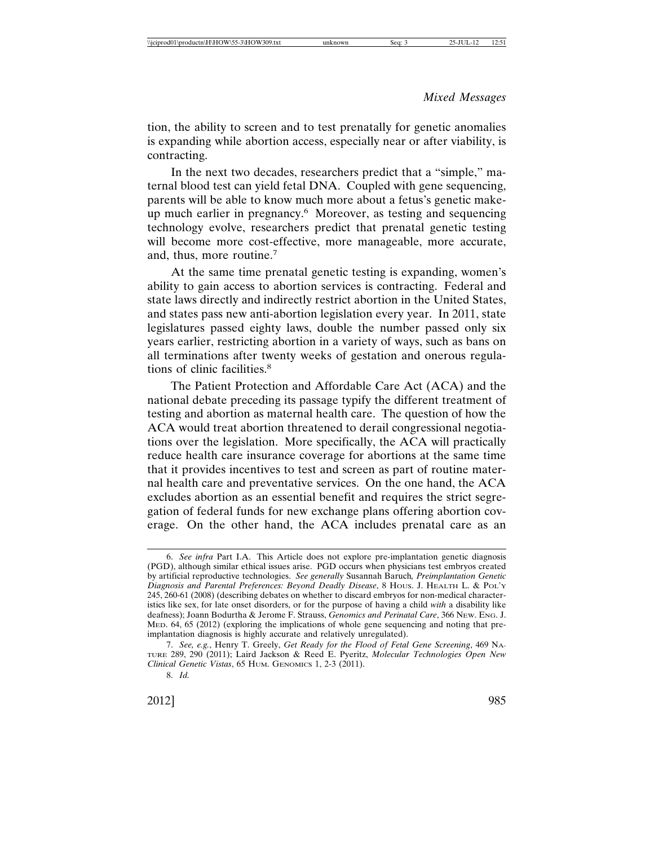tion, the ability to screen and to test prenatally for genetic anomalies is expanding while abortion access, especially near or after viability, is contracting.

In the next two decades, researchers predict that a "simple," maternal blood test can yield fetal DNA. Coupled with gene sequencing, parents will be able to know much more about a fetus's genetic makeup much earlier in pregnancy.<sup>6</sup> Moreover, as testing and sequencing technology evolve, researchers predict that prenatal genetic testing will become more cost-effective, more manageable, more accurate, and, thus, more routine.<sup>7</sup>

At the same time prenatal genetic testing is expanding, women's ability to gain access to abortion services is contracting. Federal and state laws directly and indirectly restrict abortion in the United States, and states pass new anti-abortion legislation every year. In 2011, state legislatures passed eighty laws, double the number passed only six years earlier, restricting abortion in a variety of ways, such as bans on all terminations after twenty weeks of gestation and onerous regulations of clinic facilities.<sup>8</sup>

The Patient Protection and Affordable Care Act (ACA) and the national debate preceding its passage typify the different treatment of testing and abortion as maternal health care. The question of how the ACA would treat abortion threatened to derail congressional negotiations over the legislation. More specifically, the ACA will practically reduce health care insurance coverage for abortions at the same time that it provides incentives to test and screen as part of routine maternal health care and preventative services. On the one hand, the ACA excludes abortion as an essential benefit and requires the strict segregation of federal funds for new exchange plans offering abortion coverage. On the other hand, the ACA includes prenatal care as an

<sup>6.</sup> *See infra* Part I.A. This Article does not explore pre-implantation genetic diagnosis (PGD), although similar ethical issues arise. PGD occurs when physicians test embryos created by artificial reproductive technologies. *See generally* Susannah Baruch*, Preimplantation Genetic Diagnosis and Parental Preferences: Beyond Deadly Disease*, 8 HOUS. J. HEALTH L. & POL'Y 245, 260-61 (2008) (describing debates on whether to discard embryos for non-medical characteristics like sex, for late onset disorders, or for the purpose of having a child *with* a disability like deafness); Joann Bodurtha & Jerome F. Strauss, *Genomics and Perinatal Care*, 366 NEW. ENG. J. MED. 64, 65 (2012) (exploring the implications of whole gene sequencing and noting that preimplantation diagnosis is highly accurate and relatively unregulated).

<sup>7.</sup> *See, e.g.*, Henry T. Greely, *Get Ready for the Flood of Fetal Gene Screening*, 469 NA-TURE 289, 290 (2011); Laird Jackson & Reed E. Pyeritz, *Molecular Technologies Open New Clinical Genetic Vistas*, 65 HUM. GENOMICS 1, 2-3 (2011).

<sup>8.</sup> *Id.*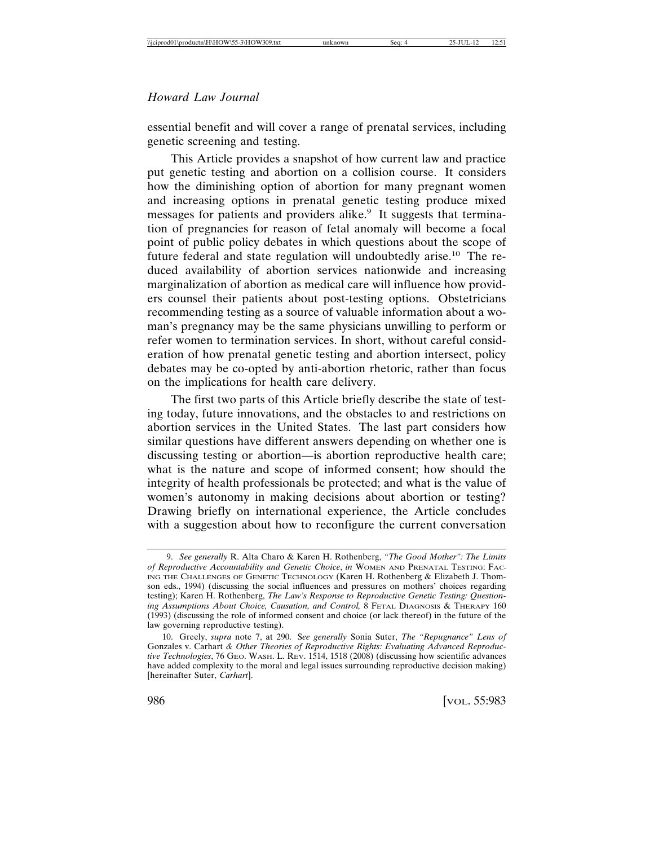#### *Howard Law Journal*

essential benefit and will cover a range of prenatal services, including genetic screening and testing.

This Article provides a snapshot of how current law and practice put genetic testing and abortion on a collision course. It considers how the diminishing option of abortion for many pregnant women and increasing options in prenatal genetic testing produce mixed messages for patients and providers alike.<sup>9</sup> It suggests that termination of pregnancies for reason of fetal anomaly will become a focal point of public policy debates in which questions about the scope of future federal and state regulation will undoubtedly arise.<sup>10</sup> The reduced availability of abortion services nationwide and increasing marginalization of abortion as medical care will influence how providers counsel their patients about post-testing options. Obstetricians recommending testing as a source of valuable information about a woman's pregnancy may be the same physicians unwilling to perform or refer women to termination services. In short, without careful consideration of how prenatal genetic testing and abortion intersect, policy debates may be co-opted by anti-abortion rhetoric, rather than focus on the implications for health care delivery.

The first two parts of this Article briefly describe the state of testing today, future innovations, and the obstacles to and restrictions on abortion services in the United States. The last part considers how similar questions have different answers depending on whether one is discussing testing or abortion—is abortion reproductive health care; what is the nature and scope of informed consent; how should the integrity of health professionals be protected; and what is the value of women's autonomy in making decisions about abortion or testing? Drawing briefly on international experience, the Article concludes with a suggestion about how to reconfigure the current conversation

<sup>9.</sup> *See generally* R. Alta Charo & Karen H. Rothenberg, *"The Good Mother": The Limits of Reproductive Accountability and Genetic Choice*, *in* WOMEN AND PRENATAL TESTING: FAC-ING THE CHALLENGES OF GENETIC TECHNOLOGY (Karen H. Rothenberg & Elizabeth J. Thomson eds., 1994) (discussing the social influences and pressures on mothers' choices regarding testing); Karen H. Rothenberg, *The Law's Response to Reproductive Genetic Testing: Questioning Assumptions About Choice, Causation, and Control,* 8 FETAL DIAGNOSIS & THERAPY 160 (1993) (discussing the role of informed consent and choice (or lack thereof) in the future of the law governing reproductive testing).

<sup>10.</sup> Greely, *supra* note 7, at 290. S*ee generally* Sonia Suter, *The "Repugnance" Lens of* Gonzales v. Carhart *& Other Theories of Reproductive Rights: Evaluating Advanced Reproductive Technologies*, 76 GEO. WASH. L. REV. 1514, 1518 (2008) (discussing how scientific advances have added complexity to the moral and legal issues surrounding reproductive decision making) [hereinafter Suter, *Carhart*].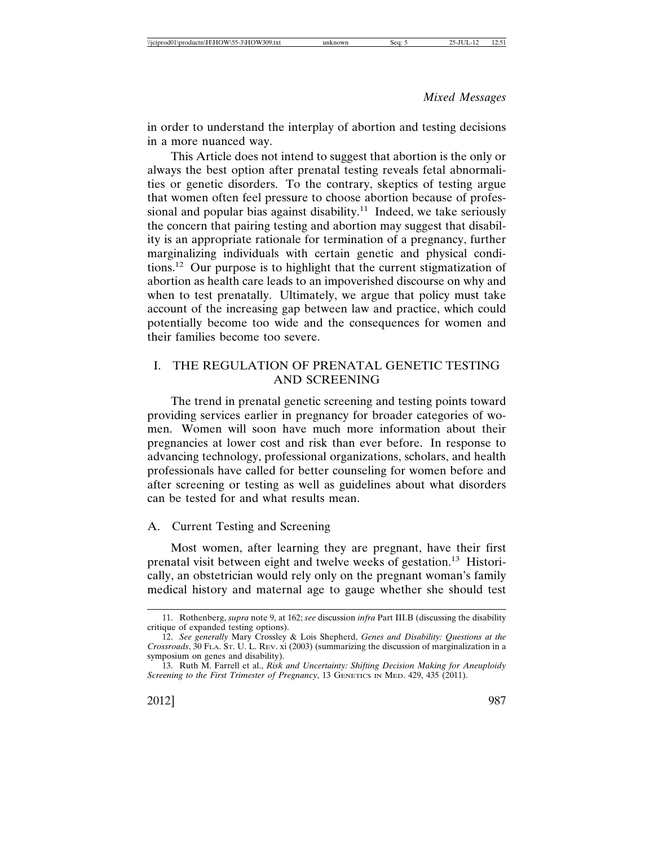in order to understand the interplay of abortion and testing decisions in a more nuanced way.

This Article does not intend to suggest that abortion is the only or always the best option after prenatal testing reveals fetal abnormalities or genetic disorders. To the contrary, skeptics of testing argue that women often feel pressure to choose abortion because of professional and popular bias against disability.<sup>11</sup> Indeed, we take seriously the concern that pairing testing and abortion may suggest that disability is an appropriate rationale for termination of a pregnancy, further marginalizing individuals with certain genetic and physical conditions.12 Our purpose is to highlight that the current stigmatization of abortion as health care leads to an impoverished discourse on why and when to test prenatally. Ultimately, we argue that policy must take account of the increasing gap between law and practice, which could potentially become too wide and the consequences for women and their families become too severe.

# I. THE REGULATION OF PRENATAL GENETIC TESTING AND SCREENING

The trend in prenatal genetic screening and testing points toward providing services earlier in pregnancy for broader categories of women. Women will soon have much more information about their pregnancies at lower cost and risk than ever before. In response to advancing technology, professional organizations, scholars, and health professionals have called for better counseling for women before and after screening or testing as well as guidelines about what disorders can be tested for and what results mean.

# A. Current Testing and Screening

Most women, after learning they are pregnant, have their first prenatal visit between eight and twelve weeks of gestation.13 Historically, an obstetrician would rely only on the pregnant woman's family medical history and maternal age to gauge whether she should test

<sup>11.</sup> Rothenberg, *supra* note 9, at 162; *see* discussion *infra* Part III.B (discussing the disability critique of expanded testing options).

<sup>12.</sup> *See generally* Mary Crossley & Lois Shepherd, *Genes and Disability: Questions at the Crossroads*, 30 FLA. ST. U. L. REV. xi (2003) (summarizing the discussion of marginalization in a symposium on genes and disability).

<sup>13.</sup> Ruth M. Farrell et al., *Risk and Uncertainty: Shifting Decision Making for Aneuploidy Screening to the First Trimester of Pregnancy*, 13 GENETICS IN MED. 429, 435 (2011).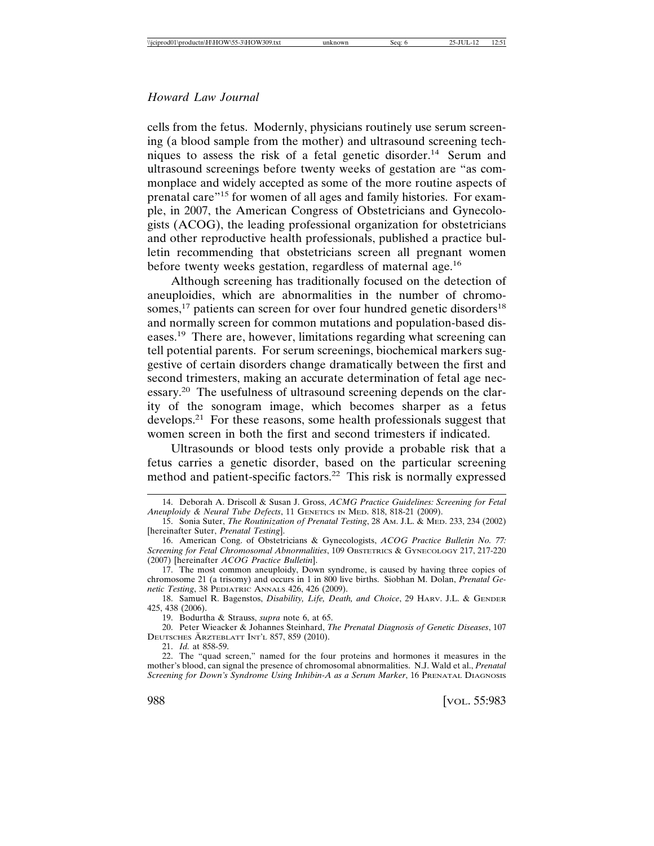cells from the fetus. Modernly, physicians routinely use serum screening (a blood sample from the mother) and ultrasound screening techniques to assess the risk of a fetal genetic disorder.14 Serum and ultrasound screenings before twenty weeks of gestation are "as commonplace and widely accepted as some of the more routine aspects of prenatal care"15 for women of all ages and family histories. For example, in 2007, the American Congress of Obstetricians and Gynecologists (ACOG), the leading professional organization for obstetricians and other reproductive health professionals, published a practice bulletin recommending that obstetricians screen all pregnant women before twenty weeks gestation, regardless of maternal age.<sup>16</sup>

Although screening has traditionally focused on the detection of aneuploidies, which are abnormalities in the number of chromosomes,<sup>17</sup> patients can screen for over four hundred genetic disorders<sup>18</sup> and normally screen for common mutations and population-based diseases.<sup>19</sup> There are, however, limitations regarding what screening can tell potential parents. For serum screenings, biochemical markers suggestive of certain disorders change dramatically between the first and second trimesters, making an accurate determination of fetal age necessary.20 The usefulness of ultrasound screening depends on the clarity of the sonogram image, which becomes sharper as a fetus develops.21 For these reasons, some health professionals suggest that women screen in both the first and second trimesters if indicated.

Ultrasounds or blood tests only provide a probable risk that a fetus carries a genetic disorder, based on the particular screening method and patient-specific factors.<sup>22</sup> This risk is normally expressed

17. The most common aneuploidy, Down syndrome, is caused by having three copies of chromosome 21 (a trisomy) and occurs in 1 in 800 live births. Siobhan M. Dolan, *Prenatal Genetic Testing*, 38 PEDIATRIC ANNALS 426, 426 (2009).

18. Samuel R. Bagenstos, *Disability, Life, Death, and Choice*, 29 HARV. J.L. & GENDER 425, 438 (2006).

19. Bodurtha & Strauss, *supra* note 6, at 65.

20. Peter Wieacker & Johannes Steinhard, *The Prenatal Diagnosis of Genetic Diseases*, 107 DEUTSCHES ÄRZTEBLATT INT'L 857, 859 (2010).

21. *Id.* at 858-59.

22. The "quad screen," named for the four proteins and hormones it measures in the mother's blood, can signal the presence of chromosomal abnormalities. N.J. Wald et al., *Prenatal Screening for Down's Syndrome Using Inhibin-A as a Serum Marker*, 16 PRENATAL DIAGNOSIS

<sup>14.</sup> Deborah A. Driscoll & Susan J. Gross, *ACMG Practice Guidelines: Screening for Fetal Aneuploidy & Neural Tube Defects*, 11 GENETICS IN MED. 818, 818-21 (2009).

<sup>15.</sup> Sonia Suter, *The Routinization of Prenatal Testing*, 28 AM. J.L. & MED. 233, 234 (2002) [hereinafter Suter, *Prenatal Testing*].

<sup>16.</sup> American Cong. of Obstetricians & Gynecologists, *ACOG Practice Bulletin No. 77: Screening for Fetal Chromosomal Abnormalities*, 109 OBSTETRICS & GYNECOLOGY 217, 217-220 (2007) [hereinafter *ACOG Practice Bulletin*].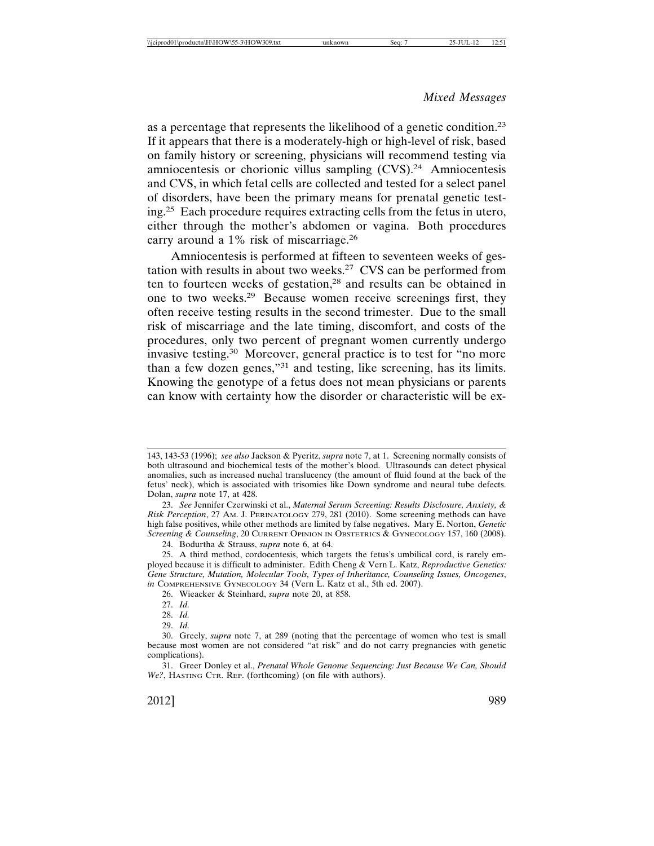as a percentage that represents the likelihood of a genetic condition.<sup>23</sup> If it appears that there is a moderately-high or high-level of risk, based on family history or screening, physicians will recommend testing via amniocentesis or chorionic villus sampling  $(CVS)$ .<sup>24</sup> Amniocentesis and CVS, in which fetal cells are collected and tested for a select panel of disorders, have been the primary means for prenatal genetic testing.25 Each procedure requires extracting cells from the fetus in utero, either through the mother's abdomen or vagina. Both procedures carry around a 1% risk of miscarriage.<sup>26</sup>

Amniocentesis is performed at fifteen to seventeen weeks of gestation with results in about two weeks.<sup>27</sup> CVS can be performed from ten to fourteen weeks of gestation, $28$  and results can be obtained in one to two weeks.29 Because women receive screenings first, they often receive testing results in the second trimester. Due to the small risk of miscarriage and the late timing, discomfort, and costs of the procedures, only two percent of pregnant women currently undergo invasive testing.<sup>30</sup> Moreover, general practice is to test for "no more" than a few dozen genes," $31$  and testing, like screening, has its limits. Knowing the genotype of a fetus does not mean physicians or parents can know with certainty how the disorder or characteristic will be ex-

<sup>143, 143-53 (1996);</sup> *see also* Jackson & Pyeritz, *supra* note 7, at 1. Screening normally consists of both ultrasound and biochemical tests of the mother's blood. Ultrasounds can detect physical anomalies, such as increased nuchal translucency (the amount of fluid found at the back of the fetus' neck), which is associated with trisomies like Down syndrome and neural tube defects. Dolan, *supra* note 17, at 428.

<sup>23.</sup> *See* Jennifer Czerwinski et al., *Maternal Serum Screening: Results Disclosure, Anxiety, & Risk Perception*, 27 AM. J. PERINATOLOGY 279, 281 (2010). Some screening methods can have high false positives, while other methods are limited by false negatives. Mary E. Norton, *Genetic Screening & Counseling*, 20 CURRENT OPINION IN OBSTETRICS & GYNECOLOGY 157, 160 (2008).

<sup>24.</sup> Bodurtha & Strauss, *supra* note 6, at 64.

<sup>25.</sup> A third method, cordocentesis, which targets the fetus's umbilical cord, is rarely employed because it is difficult to administer. Edith Cheng & Vern L. Katz, *Reproductive Genetics: Gene Structure, Mutation, Molecular Tools, Types of Inheritance, Counseling Issues, Oncogenes*, *in* COMPREHENSIVE GYNECOLOGY 34 (Vern L. Katz et al., 5th ed. 2007).

<sup>26.</sup> Wieacker & Steinhard, *supra* note 20, at 858.

<sup>27.</sup> *Id.*

<sup>28.</sup> *Id.*

<sup>29.</sup> *Id.*

<sup>30.</sup> Greely, *supra* note 7, at 289 (noting that the percentage of women who test is small because most women are not considered "at risk" and do not carry pregnancies with genetic complications).

<sup>31.</sup> Greer Donley et al., *Prenatal Whole Genome Sequencing: Just Because We Can, Should We?*, HASTING CTR. REP. (forthcoming) (on file with authors).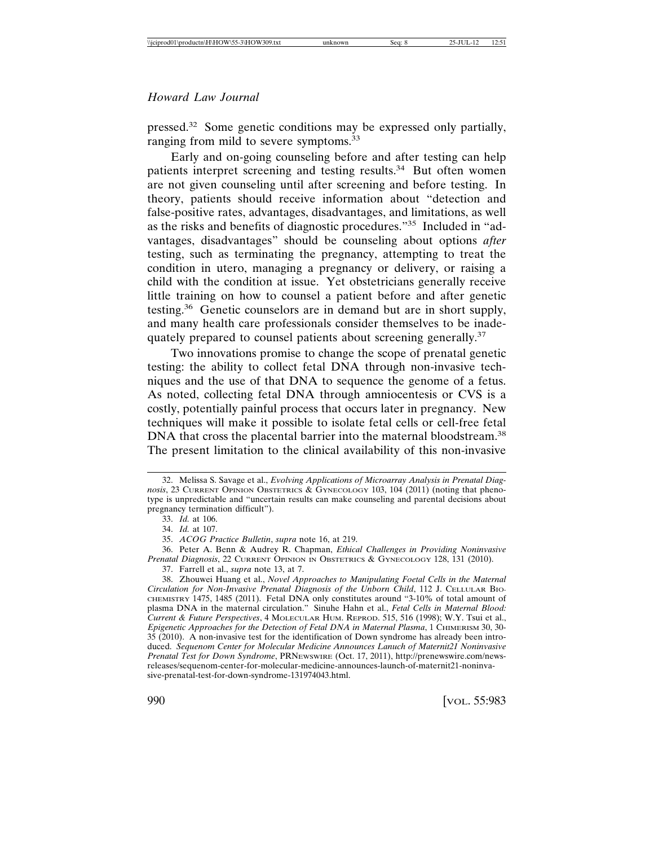pressed.32 Some genetic conditions may be expressed only partially, ranging from mild to severe symptoms.<sup>33</sup>

Early and on-going counseling before and after testing can help patients interpret screening and testing results.34 But often women are not given counseling until after screening and before testing. In theory, patients should receive information about "detection and false-positive rates, advantages, disadvantages, and limitations, as well as the risks and benefits of diagnostic procedures."35 Included in "advantages, disadvantages" should be counseling about options *after* testing, such as terminating the pregnancy, attempting to treat the condition in utero, managing a pregnancy or delivery, or raising a child with the condition at issue. Yet obstetricians generally receive little training on how to counsel a patient before and after genetic testing.36 Genetic counselors are in demand but are in short supply, and many health care professionals consider themselves to be inadequately prepared to counsel patients about screening generally.<sup>37</sup>

Two innovations promise to change the scope of prenatal genetic testing: the ability to collect fetal DNA through non-invasive techniques and the use of that DNA to sequence the genome of a fetus. As noted, collecting fetal DNA through amniocentesis or CVS is a costly, potentially painful process that occurs later in pregnancy. New techniques will make it possible to isolate fetal cells or cell-free fetal DNA that cross the placental barrier into the maternal bloodstream.<sup>38</sup> The present limitation to the clinical availability of this non-invasive

36. Peter A. Benn & Audrey R. Chapman, *Ethical Challenges in Providing Noninvasive Prenatal Diagnosis*, 22 CURRENT OPINION IN OBSTETRICS & GYNECOLOGY 128, 131 (2010).

37. Farrell et al., *supra* note 13, at 7.

38. Zhouwei Huang et al., *Novel Approaches to Manipulating Foetal Cells in the Maternal Circulation for Non-Invasive Prenatal Diagnosis of the Unborn Child*, 112 J. CELLULAR BIO-CHEMISTRY 1475, 1485 (2011). Fetal DNA only constitutes around "3-10% of total amount of plasma DNA in the maternal circulation." Sinuhe Hahn et al., *Fetal Cells in Maternal Blood: Current & Future Perspectives*, 4 MOLECULAR HUM. REPROD. 515, 516 (1998); W.Y. Tsui et al., *Epigenetic Approaches for the Detection of Fetal DNA in Maternal Plasma, 1 CHIMERISM 30, 30-*35 (2010). A non-invasive test for the identification of Down syndrome has already been introduced. *Sequenom Center for Molecular Medicine Announces Lanuch of Maternit21 Noninvasive Prenatal Test for Down Syndrome*, PRNEWSWIRE (Oct. 17, 2011), http://prenewswire.com/newsreleases/sequenom-center-for-molecular-medicine-announces-launch-of-maternit21-noninvasive-prenatal-test-for-down-syndrome-131974043.html.

<sup>32.</sup> Melissa S. Savage et al., *Evolving Applications of Microarray Analysis in Prenatal Diagnosis*, 23 CURRENT OPINION OBSTETRICS & GYNECOLOGY 103, 104 (2011) (noting that phenotype is unpredictable and "uncertain results can make counseling and parental decisions about pregnancy termination difficult").

<sup>33.</sup> *Id.* at 106.

<sup>34.</sup> *Id.* at 107.

<sup>35.</sup> *ACOG Practice Bulletin*, *supra* note 16, at 219.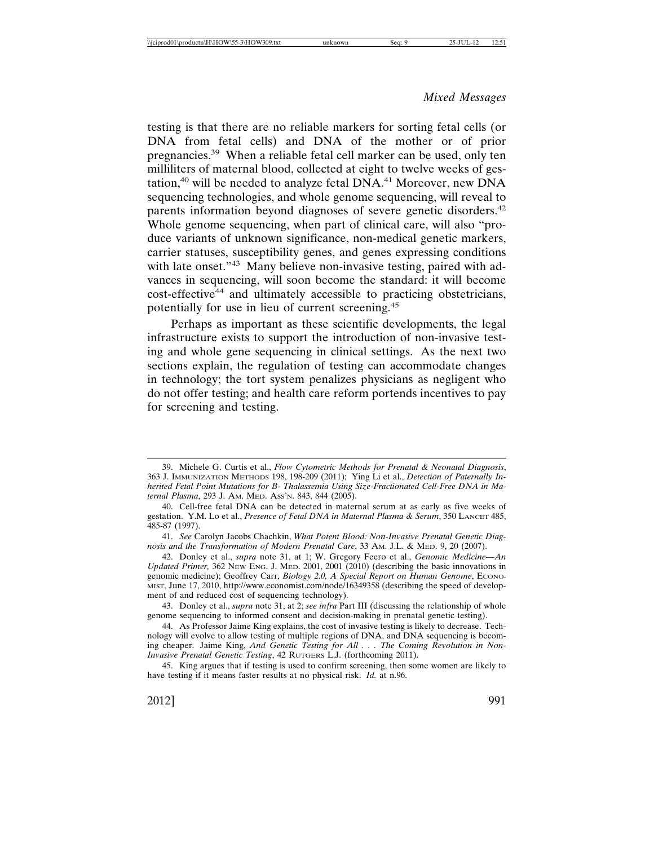testing is that there are no reliable markers for sorting fetal cells (or DNA from fetal cells) and DNA of the mother or of prior pregnancies.39 When a reliable fetal cell marker can be used, only ten milliliters of maternal blood, collected at eight to twelve weeks of gestation,<sup>40</sup> will be needed to analyze fetal  $DNA$ ,<sup>41</sup> Moreover, new  $DNA$ sequencing technologies, and whole genome sequencing, will reveal to parents information beyond diagnoses of severe genetic disorders.<sup>42</sup> Whole genome sequencing, when part of clinical care, will also "produce variants of unknown significance, non-medical genetic markers, carrier statuses, susceptibility genes, and genes expressing conditions with late onset."<sup>43</sup> Many believe non-invasive testing, paired with advances in sequencing, will soon become the standard: it will become cost-effective<sup>44</sup> and ultimately accessible to practicing obstetricians, potentially for use in lieu of current screening.<sup>45</sup>

Perhaps as important as these scientific developments, the legal infrastructure exists to support the introduction of non-invasive testing and whole gene sequencing in clinical settings. As the next two sections explain, the regulation of testing can accommodate changes in technology; the tort system penalizes physicians as negligent who do not offer testing; and health care reform portends incentives to pay for screening and testing.

<sup>39.</sup> Michele G. Curtis et al., *Flow Cytometric Methods for Prenatal & Neonatal Diagnosis*, 363 J. IMMUNIZATION METHODS 198, 198-209 (2011); Ying Li et al., *Detection of Paternally Inherited Fetal Point Mutations for B- Thalassemia Using Size-Fractionated Cell-Free DNA in Maternal Plasma*, 293 J. AM. MED. ASS'N. 843, 844 (2005).

<sup>40.</sup> Cell-free fetal DNA can be detected in maternal serum at as early as five weeks of gestation. Y.M. Lo et al., *Presence of Fetal DNA in Maternal Plasma & Serum*, 350 LANCET 485, 485-87 (1997).

<sup>41.</sup> *See* Carolyn Jacobs Chachkin, *What Potent Blood: Non-Invasive Prenatal Genetic Diagnosis and the Transformation of Modern Prenatal Care*, 33 AM. J.L. & MED. 9, 20 (2007).

<sup>42.</sup> Donley et al., *supra* note 31, at 1; W. Gregory Feero et al., *Genomic Medicine—An Updated Primer,* 362 NEW ENG. J. MED. 2001, 2001 (2010) (describing the basic innovations in genomic medicine); Geoffrey Carr, *Biology 2.0, A Special Report on Human Genome*, Econo-MIST, June 17, 2010, http://www.economist.com/node/16349358 (describing the speed of development of and reduced cost of sequencing technology).

<sup>43.</sup> Donley et al., *supra* note 31, at 2; *see infra* Part III (discussing the relationship of whole genome sequencing to informed consent and decision-making in prenatal genetic testing).

<sup>44.</sup> As Professor Jaime King explains, the cost of invasive testing is likely to decrease. Technology will evolve to allow testing of multiple regions of DNA, and DNA sequencing is becoming cheaper. Jaime King, *And Genetic Testing for All . . . The Coming Revolution in Non-Invasive Prenatal Genetic Testing*, 42 RUTGERS L.J. (forthcoming 2011).

<sup>45.</sup> King argues that if testing is used to confirm screening, then some women are likely to have testing if it means faster results at no physical risk. *Id.* at n.96.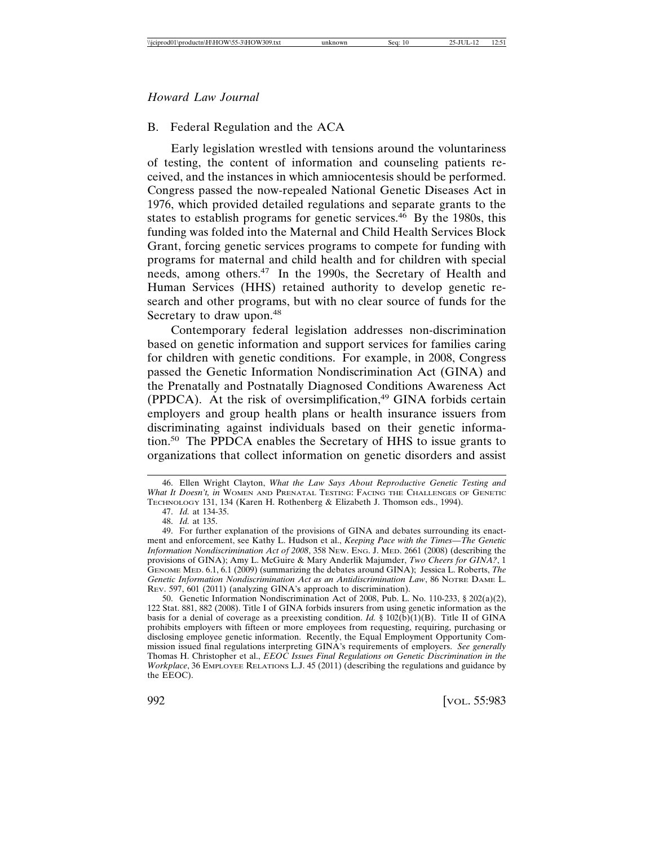#### B. Federal Regulation and the ACA

Early legislation wrestled with tensions around the voluntariness of testing, the content of information and counseling patients received, and the instances in which amniocentesis should be performed. Congress passed the now-repealed National Genetic Diseases Act in 1976, which provided detailed regulations and separate grants to the states to establish programs for genetic services. $46$  By the 1980s, this funding was folded into the Maternal and Child Health Services Block Grant, forcing genetic services programs to compete for funding with programs for maternal and child health and for children with special needs, among others.<sup>47</sup> In the 1990s, the Secretary of Health and Human Services (HHS) retained authority to develop genetic research and other programs, but with no clear source of funds for the Secretary to draw upon.<sup>48</sup>

Contemporary federal legislation addresses non-discrimination based on genetic information and support services for families caring for children with genetic conditions. For example, in 2008, Congress passed the Genetic Information Nondiscrimination Act (GINA) and the Prenatally and Postnatally Diagnosed Conditions Awareness Act (PPDCA). At the risk of oversimplification, $49$  GINA forbids certain employers and group health plans or health insurance issuers from discriminating against individuals based on their genetic information.50 The PPDCA enables the Secretary of HHS to issue grants to organizations that collect information on genetic disorders and assist

<sup>46.</sup> Ellen Wright Clayton, *What the Law Says About Reproductive Genetic Testing and What It Doesn't, in* WOMEN AND PRENATAL TESTING: FACING THE CHALLENGES OF GENETIC TECHNOLOGY 131, 134 (Karen H. Rothenberg & Elizabeth J. Thomson eds., 1994).

<sup>47.</sup> *Id.* at 134-35.

<sup>48.</sup> *Id.* at 135.

<sup>49.</sup> For further explanation of the provisions of GINA and debates surrounding its enactment and enforcement, see Kathy L. Hudson et al., *Keeping Pace with the Times—The Genetic Information Nondiscrimination Act of 2008*, 358 NEW. ENG. J. MED. 2661 (2008) (describing the provisions of GINA); Amy L. McGuire & Mary Anderlik Majumder, *Two Cheers for GINA?*, 1 GENOME MED. 6.1, 6.1 (2009) (summarizing the debates around GINA); Jessica L. Roberts, *The Genetic Information Nondiscrimination Act as an Antidiscrimination Law*, 86 NOTRE DAME L. REV. 597, 601 (2011) (analyzing GINA's approach to discrimination).

<sup>50.</sup> Genetic Information Nondiscrimination Act of 2008, Pub. L. No. 110-233, § 202(a)(2), 122 Stat. 881, 882 (2008). Title I of GINA forbids insurers from using genetic information as the basis for a denial of coverage as a preexisting condition. *Id.* § 102(b)(1)(B). Title II of GINA prohibits employers with fifteen or more employees from requesting, requiring, purchasing or disclosing employee genetic information. Recently, the Equal Employment Opportunity Commission issued final regulations interpreting GINA's requirements of employers. *See generally* Thomas H. Christopher et al., *EEOC Issues Final Regulations on Genetic Discrimination in the Workplace*, 36 EMPLOYEE RELATIONS L.J. 45 (2011) (describing the regulations and guidance by the EEOC).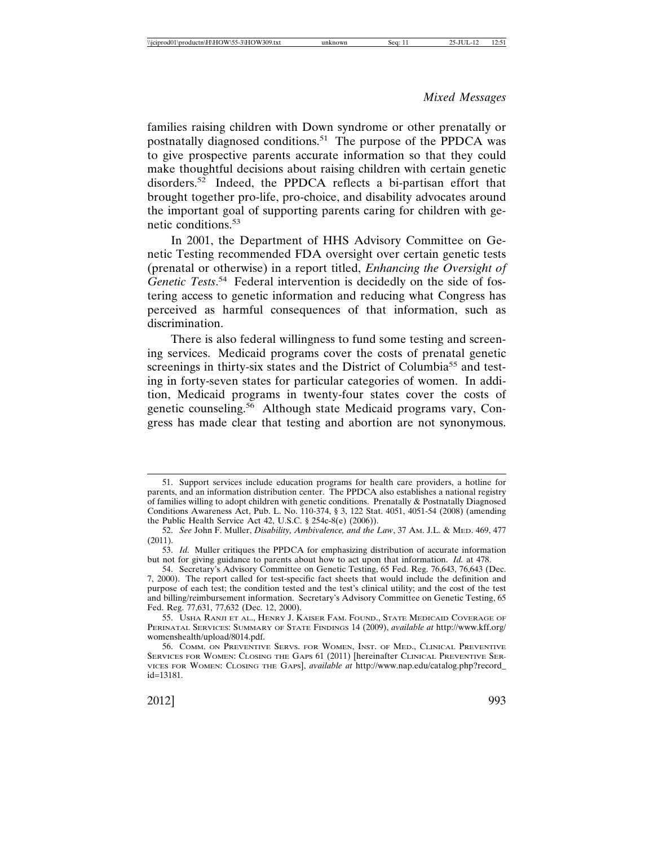families raising children with Down syndrome or other prenatally or postnatally diagnosed conditions.<sup>51</sup> The purpose of the PPDCA was to give prospective parents accurate information so that they could make thoughtful decisions about raising children with certain genetic disorders.<sup>52</sup> Indeed, the PPDCA reflects a bi-partisan effort that brought together pro-life, pro-choice, and disability advocates around the important goal of supporting parents caring for children with genetic conditions.<sup>53</sup>

In 2001, the Department of HHS Advisory Committee on Genetic Testing recommended FDA oversight over certain genetic tests (prenatal or otherwise) in a report titled, *Enhancing the Oversight of* Genetic Tests.<sup>54</sup> Federal intervention is decidedly on the side of fostering access to genetic information and reducing what Congress has perceived as harmful consequences of that information, such as discrimination.

There is also federal willingness to fund some testing and screening services. Medicaid programs cover the costs of prenatal genetic screenings in thirty-six states and the District of Columbia<sup>55</sup> and testing in forty-seven states for particular categories of women. In addition, Medicaid programs in twenty-four states cover the costs of genetic counseling.<sup>56</sup> Although state Medicaid programs vary, Congress has made clear that testing and abortion are not synonymous.

<sup>51.</sup> Support services include education programs for health care providers, a hotline for parents, and an information distribution center. The PPDCA also establishes a national registry of families willing to adopt children with genetic conditions. Prenatally & Postnatally Diagnosed Conditions Awareness Act, Pub. L. No. 110-374, § 3, 122 Stat. 4051, 4051-54 (2008) (amending the Public Health Service Act 42, U.S.C. § 254c-8(e) (2006)).

<sup>52.</sup> *See* John F. Muller, *Disability, Ambivalence, and the Law*, 37 AM. J.L. & MED. 469, 477 (2011).

<sup>53.</sup> *Id.* Muller critiques the PPDCA for emphasizing distribution of accurate information but not for giving guidance to parents about how to act upon that information. *Id.* at 478.

<sup>54.</sup> Secretary's Advisory Committee on Genetic Testing, 65 Fed. Reg. 76,643, 76,643 (Dec. 7, 2000). The report called for test-specific fact sheets that would include the definition and purpose of each test; the condition tested and the test's clinical utility; and the cost of the test and billing/reimbursement information. Secretary's Advisory Committee on Genetic Testing, 65 Fed. Reg. 77,631, 77,632 (Dec. 12, 2000).

<sup>55.</sup> USHA RANJI ET AL., HENRY J. KAISER FAM. FOUND., STATE MEDICAID COVERAGE OF PERINATAL SERVICES: SUMMARY OF STATE FINDINGS 14 (2009), *available at* http://www.kff.org/ womenshealth/upload/8014.pdf.

<sup>56.</sup> COMM. ON PREVENTIVE SERVS. FOR WOMEN, INST. OF MED., CLINICAL PREVENTIVE SERVICES FOR WOMEN: CLOSING THE GAPS 61 (2011) [hereinafter CLINICAL PREVENTIVE SER-VICES FOR WOMEN: CLOSING THE GAPS], *available at* http://www.nap.edu/catalog.php?record\_ id=13181.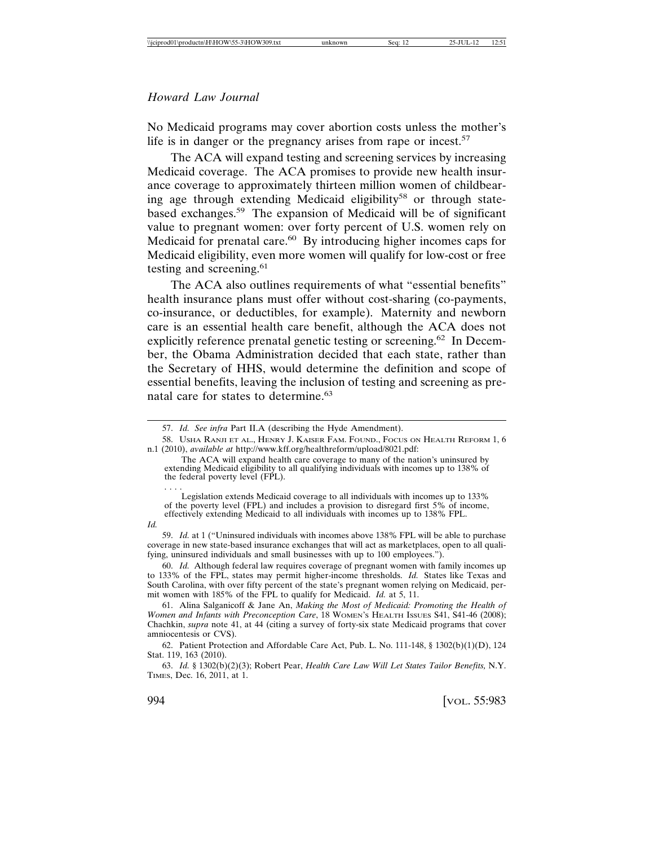#### *Howard Law Journal*

No Medicaid programs may cover abortion costs unless the mother's life is in danger or the pregnancy arises from rape or incest.<sup>57</sup>

The ACA will expand testing and screening services by increasing Medicaid coverage. The ACA promises to provide new health insurance coverage to approximately thirteen million women of childbearing age through extending Medicaid eligibility<sup>58</sup> or through statebased exchanges.59 The expansion of Medicaid will be of significant value to pregnant women: over forty percent of U.S. women rely on Medicaid for prenatal care.<sup>60</sup> By introducing higher incomes caps for Medicaid eligibility, even more women will qualify for low-cost or free testing and screening.<sup>61</sup>

The ACA also outlines requirements of what "essential benefits" health insurance plans must offer without cost-sharing (co-payments, co-insurance, or deductibles, for example). Maternity and newborn care is an essential health care benefit, although the ACA does not explicitly reference prenatal genetic testing or screening.<sup>62</sup> In December, the Obama Administration decided that each state, rather than the Secretary of HHS, would determine the definition and scope of essential benefits, leaving the inclusion of testing and screening as prenatal care for states to determine.<sup>63</sup>

*Id.*

59. *Id.* at 1 ("Uninsured individuals with incomes above 138% FPL will be able to purchase coverage in new state-based insurance exchanges that will act as marketplaces, open to all qualifying, uninsured individuals and small businesses with up to 100 employees.").

60. *Id.* Although federal law requires coverage of pregnant women with family incomes up to 133% of the FPL, states may permit higher-income thresholds. *Id.* States like Texas and South Carolina, with over fifty percent of the state's pregnant women relying on Medicaid, permit women with 185% of the FPL to qualify for Medicaid. *Id.* at 5, 11.

61. Alina Salganicoff & Jane An, *Making the Most of Medicaid: Promoting the Health of Women and Infants with Preconception Care*, 18 WOMEN's HEALTH ISSUES S41, S41-46 (2008); Chachkin, *supra* note 41, at 44 (citing a survey of forty-six state Medicaid programs that cover amniocentesis or CVS).

62. Patient Protection and Affordable Care Act, Pub. L. No. 111-148, § 1302(b)(1)(D), 124 Stat. 119, 163 (2010).

63. *Id.* § 1302(b)(2)(3); Robert Pear, *Health Care Law Will Let States Tailor Benefits,* N.Y. TIMES, Dec. 16, 2011, at 1.

<sup>57.</sup> *Id. See infra* Part II.A (describing the Hyde Amendment).

<sup>58.</sup> USHA RANJI ET AL., HENRY J. KAISER FAM. FOUND., FOCUS ON HEALTH REFORM 1, 6 n.1 (2010), *available at* http://www.kff.org/healthreform/upload/8021.pdf:

The ACA will expand health care coverage to many of the nation's uninsured by extending Medicaid eligibility to all qualifying individuals with incomes up to 138% of the federal poverty level (FPL).

<sup>. . . .</sup> Legislation extends Medicaid coverage to all individuals with incomes up to 133% of the poverty level (FPL) and includes a provision to disregard first 5% of income, effectively extending Medicaid to all individuals with incomes up to 138% FPL.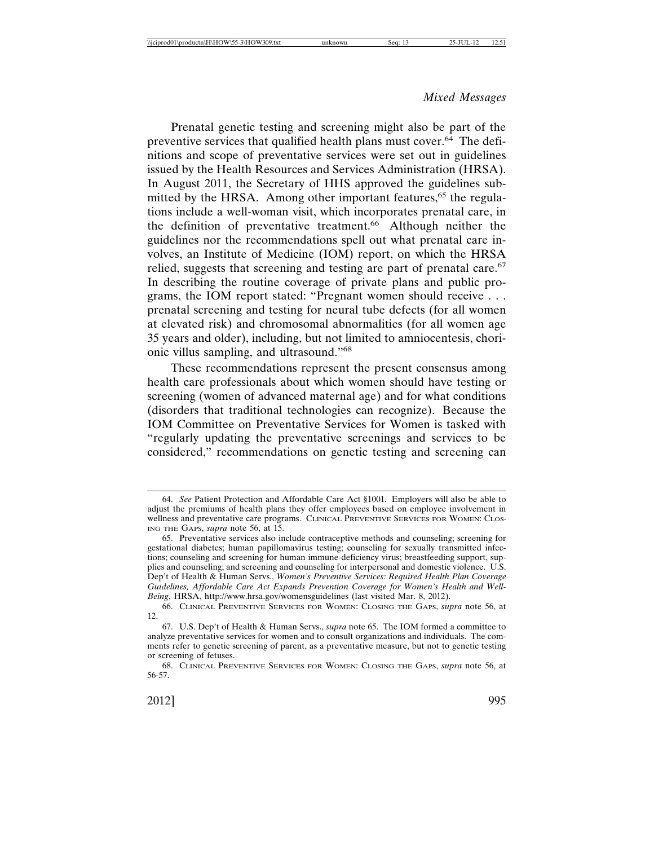Prenatal genetic testing and screening might also be part of the preventive services that qualified health plans must cover.<sup>64</sup> The definitions and scope of preventative services were set out in guidelines issued by the Health Resources and Services Administration (HRSA). In August 2011, the Secretary of HHS approved the guidelines submitted by the HRSA. Among other important features,<sup>65</sup> the regulations include a well-woman visit, which incorporates prenatal care, in the definition of preventative treatment.<sup>66</sup> Although neither the guidelines nor the recommendations spell out what prenatal care involves, an Institute of Medicine (IOM) report, on which the HRSA relied, suggests that screening and testing are part of prenatal care.<sup>67</sup> In describing the routine coverage of private plans and public programs, the IOM report stated: "Pregnant women should receive . . . prenatal screening and testing for neural tube defects (for all women at elevated risk) and chromosomal abnormalities (for all women age 35 years and older), including, but not limited to amniocentesis, chorionic villus sampling, and ultrasound."<sup>68</sup>

These recommendations represent the present consensus among health care professionals about which women should have testing or screening (women of advanced maternal age) and for what conditions (disorders that traditional technologies can recognize). Because the IOM Committee on Preventative Services for Women is tasked with "regularly updating the preventative screenings and services to be considered," recommendations on genetic testing and screening can

<sup>64.</sup> *See* Patient Protection and Affordable Care Act §1001. Employers will also be able to adjust the premiums of health plans they offer employees based on employee involvement in wellness and preventative care programs. CLINICAL PREVENTIVE SERVICES FOR WOMEN: CLOS-ING THE GAPS, *supra* note 56, at 15.

<sup>65.</sup> Preventative services also include contraceptive methods and counseling; screening for gestational diabetes; human papillomavirus testing; counseling for sexually transmitted infections; counseling and screening for human immune-deficiency virus; breastfeeding support, supplies and counseling; and screening and counseling for interpersonal and domestic violence. U.S. Dep't of Health & Human Servs., *Women's Preventive Services: Required Health Plan Coverage Guidelines, Affordable Care Act Expands Prevention Coverage for Women's Health and Well-Being*, HRSA, http://www.hrsa.gov/womensguidelines (last visited Mar. 8, 2012).

<sup>66.</sup> CLINICAL PREVENTIVE SERVICES FOR WOMEN: CLOSING THE GAPS, *supra* note 56, at 12.

<sup>67.</sup> U.S. Dep't of Health & Human Servs., *supra* note 65. The IOM formed a committee to analyze preventative services for women and to consult organizations and individuals. The comments refer to genetic screening of parent, as a preventative measure, but not to genetic testing or screening of fetuses.

<sup>68.</sup> CLINICAL PREVENTIVE SERVICES FOR WOMEN: CLOSING THE GAPS, *supra* note 56, at 56-57.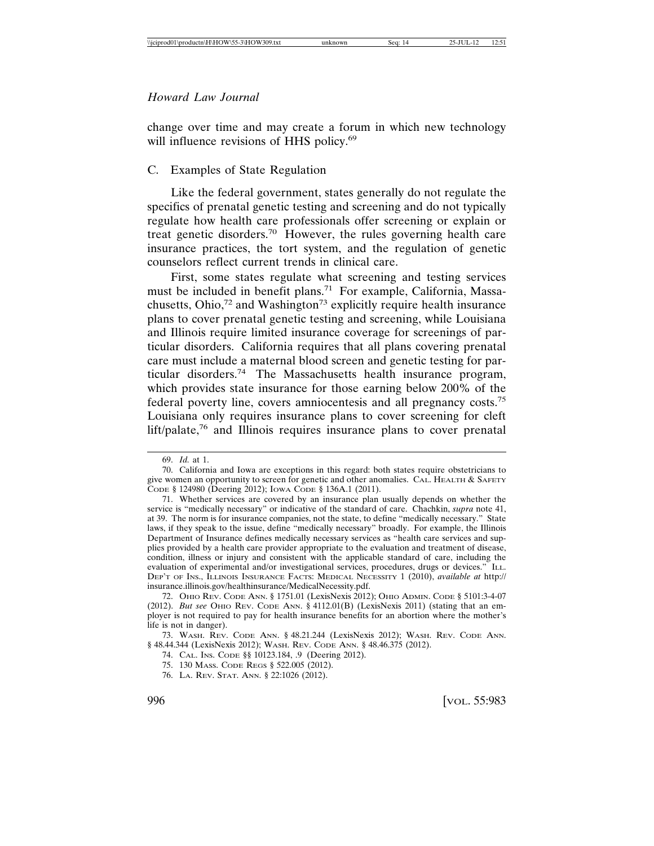change over time and may create a forum in which new technology will influence revisions of HHS policy.<sup>69</sup>

## C. Examples of State Regulation

Like the federal government, states generally do not regulate the specifics of prenatal genetic testing and screening and do not typically regulate how health care professionals offer screening or explain or treat genetic disorders.70 However, the rules governing health care insurance practices, the tort system, and the regulation of genetic counselors reflect current trends in clinical care.

First, some states regulate what screening and testing services must be included in benefit plans.71 For example, California, Massachusetts, Ohio,<sup>72</sup> and Washington<sup>73</sup> explicitly require health insurance plans to cover prenatal genetic testing and screening, while Louisiana and Illinois require limited insurance coverage for screenings of particular disorders. California requires that all plans covering prenatal care must include a maternal blood screen and genetic testing for particular disorders.74 The Massachusetts health insurance program, which provides state insurance for those earning below 200% of the federal poverty line, covers amniocentesis and all pregnancy costs.<sup>75</sup> Louisiana only requires insurance plans to cover screening for cleft lift/palate,76 and Illinois requires insurance plans to cover prenatal

<sup>69.</sup> *Id.* at 1.

<sup>70.</sup> California and Iowa are exceptions in this regard: both states require obstetricians to give women an opportunity to screen for genetic and other anomalies. CAL. HEALTH & SAFETY CODE § 124980 (Deering 2012); IOWA CODE § 136A.1 (2011).

<sup>71.</sup> Whether services are covered by an insurance plan usually depends on whether the service is "medically necessary" or indicative of the standard of care. Chachkin, *supra* note 41, at 39. The norm is for insurance companies, not the state, to define "medically necessary." State laws, if they speak to the issue, define "medically necessary" broadly. For example, the Illinois Department of Insurance defines medically necessary services as "health care services and supplies provided by a health care provider appropriate to the evaluation and treatment of disease, condition, illness or injury and consistent with the applicable standard of care, including the evaluation of experimental and/or investigational services, procedures, drugs or devices." ILL. DEP'T OF INS., ILLINOIS INSURANCE FACTS: MEDICAL NECESSITY 1 (2010), *available at* http:// insurance.illinois.gov/healthinsurance/MedicalNecessity.pdf.

<sup>72.</sup> OHIO REV. CODE ANN. § 1751.01 (LexisNexis 2012); OHIO ADMIN. CODE § 5101:3-4-07 (2012). *But see* OHIO REV. CODE ANN. § 4112.01(B) (LexisNexis 2011) (stating that an employer is not required to pay for health insurance benefits for an abortion where the mother's life is not in danger).

<sup>73.</sup> WASH. REV. CODE ANN. § 48.21.244 (LexisNexis 2012); WASH. REV. CODE ANN. § 48.44.344 (LexisNexis 2012); WASH. REV. CODE ANN. § 48.46.375 (2012).

<sup>74.</sup> CAL. INS. CODE §§ 10123.184, .9 (Deering 2012).

<sup>75. 130</sup> MASS. CODE REGS § 522.005 (2012).

<sup>76.</sup> LA. REV. STAT. ANN. § 22:1026 (2012).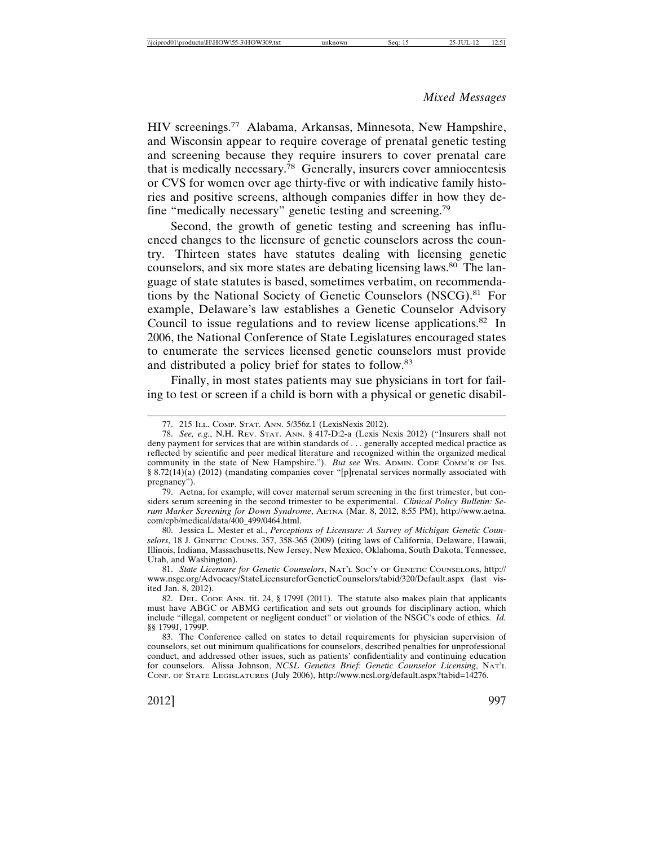HIV screenings.77 Alabama, Arkansas, Minnesota, New Hampshire, and Wisconsin appear to require coverage of prenatal genetic testing and screening because they require insurers to cover prenatal care that is medically necessary.<sup>78</sup> Generally, insurers cover amniocentesis or CVS for women over age thirty-five or with indicative family histories and positive screens, although companies differ in how they define "medically necessary" genetic testing and screening.<sup>79</sup>

Second, the growth of genetic testing and screening has influenced changes to the licensure of genetic counselors across the country. Thirteen states have statutes dealing with licensing genetic counselors, and six more states are debating licensing laws.<sup>80</sup> The language of state statutes is based, sometimes verbatim, on recommendations by the National Society of Genetic Counselors (NSCG).81 For example, Delaware's law establishes a Genetic Counselor Advisory Council to issue regulations and to review license applications.82 In 2006, the National Conference of State Legislatures encouraged states to enumerate the services licensed genetic counselors must provide and distributed a policy brief for states to follow.<sup>83</sup>

Finally, in most states patients may sue physicians in tort for failing to test or screen if a child is born with a physical or genetic disabil-

80. Jessica L. Mester et al., *Perceptions of Licensure: A Survey of Michigan Genetic Counselors*, 18 J. GENETIC COUNS. 357, 358-365 (2009) (citing laws of California, Delaware, Hawaii, Illinois, Indiana, Massachusetts, New Jersey, New Mexico, Oklahoma, South Dakota, Tennessee, Utah, and Washington).

81. *State Licensure for Genetic Counselors*, NAT'L SOC'Y OF GENETIC COUNSELORS, http:// www.nsgc.org/Advocacy/StateLicensureforGeneticCounselors/tabid/320/Default.aspx (last visited Jan. 8, 2012).

<sup>77. 215</sup> ILL. COMP. STAT. ANN. 5/356z.1 (LexisNexis 2012).

<sup>78.</sup> *See, e.g.*, N.H. REV. STAT. ANN. § 417-D:2-a (Lexis Nexis 2012) ("Insurers shall not deny payment for services that are within standards of . . . generally accepted medical practice as reflected by scientific and peer medical literature and recognized within the organized medical community in the state of New Hampshire."). *But see* Wis. ADMIN. CODE COMM'R OF INS. § 8.72(14)(a) (2012) (mandating companies cover "[p]renatal services normally associated with pregnancy").

<sup>79.</sup> Aetna, for example, will cover maternal serum screening in the first trimester, but considers serum screening in the second trimester to be experimental. *Clinical Policy Bulletin: Serum Marker Screening for Down Syndrome*, AETNA (Mar. 8, 2012, 8:55 PM), http://www.aetna. com/cpb/medical/data/400\_499/0464.html.

<sup>82.</sup> DEL. CODE ANN. tit. 24, § 1799I (2011). The statute also makes plain that applicants must have ABGC or ABMG certification and sets out grounds for disciplinary action, which include "illegal, competent or negligent conduct" or violation of the NSGC's code of ethics. *Id.* §§ 1799J, 1799P.

<sup>83.</sup> The Conference called on states to detail requirements for physician supervision of counselors, set out minimum qualifications for counselors, described penalties for unprofessional conduct, and addressed other issues, such as patients' confidentiality and continuing education for counselors. Alissa Johnson, *NCSL Genetics Brief: Genetic Counselor Licensing*, NAT'L CONF. OF STATE LEGISLATURES (July 2006), http://www.ncsl.org/default.aspx?tabid=14276.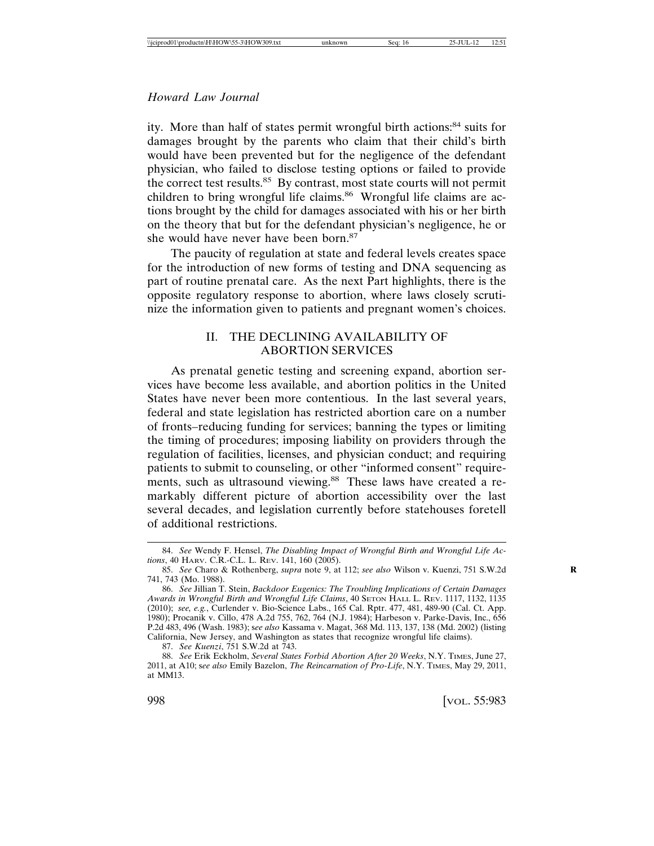ity. More than half of states permit wrongful birth actions:<sup>84</sup> suits for damages brought by the parents who claim that their child's birth would have been prevented but for the negligence of the defendant physician, who failed to disclose testing options or failed to provide the correct test results.85 By contrast, most state courts will not permit children to bring wrongful life claims.<sup>86</sup> Wrongful life claims are actions brought by the child for damages associated with his or her birth on the theory that but for the defendant physician's negligence, he or she would have never have been born.<sup>87</sup>

The paucity of regulation at state and federal levels creates space for the introduction of new forms of testing and DNA sequencing as part of routine prenatal care. As the next Part highlights, there is the opposite regulatory response to abortion, where laws closely scrutinize the information given to patients and pregnant women's choices.

## II. THE DECLINING AVAILABILITY OF ABORTION SERVICES

As prenatal genetic testing and screening expand, abortion services have become less available, and abortion politics in the United States have never been more contentious. In the last several years, federal and state legislation has restricted abortion care on a number of fronts–reducing funding for services; banning the types or limiting the timing of procedures; imposing liability on providers through the regulation of facilities, licenses, and physician conduct; and requiring patients to submit to counseling, or other "informed consent" requirements, such as ultrasound viewing.<sup>88</sup> These laws have created a remarkably different picture of abortion accessibility over the last several decades, and legislation currently before statehouses foretell of additional restrictions.

87. *See Kuenzi*, 751 S.W.2d at 743.

<sup>84.</sup> *See* Wendy F. Hensel, *The Disabling Impact of Wrongful Birth and Wrongful Life Actions*, 40 HARV. C.R.-C.L. L. REV. 141, 160 (2005).

<sup>85.</sup> *See* Charo & Rothenberg, *supra* note 9, at 112; *see also* Wilson v. Kuenzi, 751 S.W.2d **R** 741, 743 (Mo. 1988).

<sup>86.</sup> *See* Jillian T. Stein, *Backdoor Eugenics: The Troubling Implications of Certain Damages Awards in Wrongful Birth and Wrongful Life Claims*, 40 SETON HALL L. REV. 1117, 1132, 1135 (2010); *see, e.g.*, Curlender v. Bio-Science Labs., 165 Cal. Rptr. 477, 481, 489-90 (Cal. Ct. App. 1980); Procanik v. Cillo, 478 A.2d 755, 762, 764 (N.J. 1984); Harbeson v. Parke-Davis, Inc., 656 P.2d 483, 496 (Wash. 1983); s*ee also* Kassama v. Magat, 368 Md. 113, 137, 138 (Md. 2002) (listing California, New Jersey, and Washington as states that recognize wrongful life claims).

<sup>88.</sup> *See* Erik Eckholm, *Several States Forbid Abortion After 20 Weeks*, N.Y. TIMES, June 27, 2011, at A10; s*ee also* Emily Bazelon, *The Reincarnation of Pro-Life*, N.Y. TIMES, May 29, 2011, at MM13.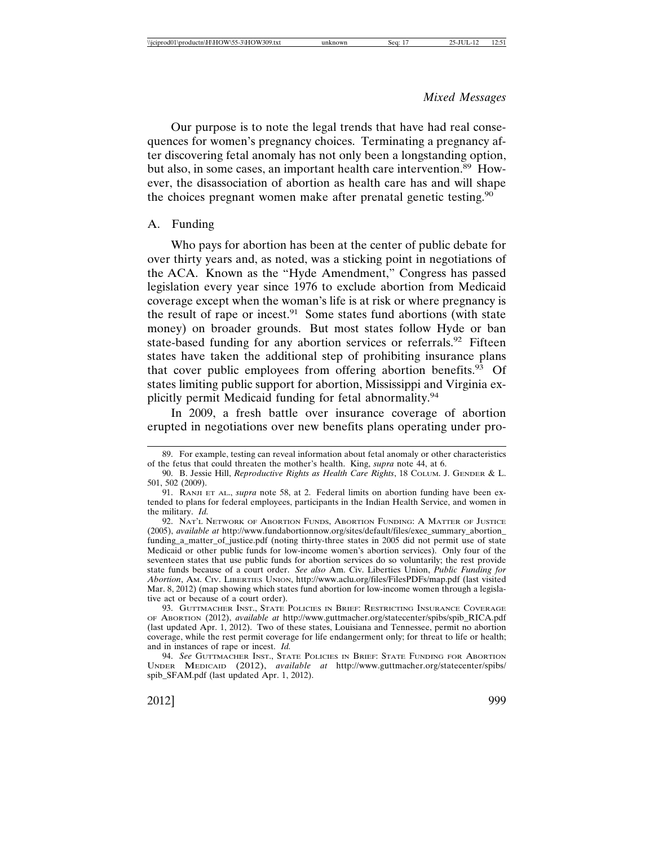Our purpose is to note the legal trends that have had real consequences for women's pregnancy choices. Terminating a pregnancy after discovering fetal anomaly has not only been a longstanding option, but also, in some cases, an important health care intervention.<sup>89</sup> However, the disassociation of abortion as health care has and will shape the choices pregnant women make after prenatal genetic testing.<sup>90</sup>

#### A. Funding

Who pays for abortion has been at the center of public debate for over thirty years and, as noted, was a sticking point in negotiations of the ACA. Known as the "Hyde Amendment," Congress has passed legislation every year since 1976 to exclude abortion from Medicaid coverage except when the woman's life is at risk or where pregnancy is the result of rape or incest.<sup>91</sup> Some states fund abortions (with state money) on broader grounds. But most states follow Hyde or ban state-based funding for any abortion services or referrals.<sup>92</sup> Fifteen states have taken the additional step of prohibiting insurance plans that cover public employees from offering abortion benefits.<sup>93</sup> Of states limiting public support for abortion, Mississippi and Virginia explicitly permit Medicaid funding for fetal abnormality.<sup>94</sup>

In 2009, a fresh battle over insurance coverage of abortion erupted in negotiations over new benefits plans operating under pro-

<sup>89.</sup> For example, testing can reveal information about fetal anomaly or other characteristics of the fetus that could threaten the mother's health. King, *supra* note 44, at 6.

<sup>90.</sup> B. Jessie Hill, *Reproductive Rights as Health Care Rights*, 18 COLUM. J. GENDER & L. 501, 502 (2009).

<sup>91.</sup> RANJI ET AL., *supra* note 58, at 2. Federal limits on abortion funding have been extended to plans for federal employees, participants in the Indian Health Service, and women in the military. *Id.*

<sup>92.</sup> NAT'L NETWORK OF ABORTION FUNDS, ABORTION FUNDING: A MATTER OF JUSTICE (2005), *available at* http://www.fundabortionnow.org/sites/default/files/exec\_summary\_abortion\_ funding\_a\_matter\_of\_justice.pdf (noting thirty-three states in 2005 did not permit use of state Medicaid or other public funds for low-income women's abortion services). Only four of the seventeen states that use public funds for abortion services do so voluntarily; the rest provide state funds because of a court order. *See also* Am. Civ. Liberties Union, *Public Funding for Abortion*, AM. CIV. LIBERTIES UNION, http://www.aclu.org/files/FilesPDFs/map.pdf (last visited Mar. 8, 2012) (map showing which states fund abortion for low-income women through a legislative act or because of a court order).

<sup>93.</sup> GUTTMACHER INST., STATE POLICIES IN BRIEF: RESTRICTING INSURANCE COVERAGE OF ABORTION (2012), *available at* http://www.guttmacher.org/statecenter/spibs/spib\_RICA.pdf (last updated Apr. 1, 2012). Two of these states, Louisiana and Tennessee, permit no abortion coverage, while the rest permit coverage for life endangerment only; for threat to life or health; and in instances of rape or incest. *Id.*

<sup>94.</sup> *See* GUTTMACHER INST., STATE POLICIES IN BRIEF: STATE FUNDING FOR ABORTION UNDER MEDICAID (2012), *available at* http://www.guttmacher.org/statecenter/spibs/ spib\_SFAM.pdf (last updated Apr. 1, 2012).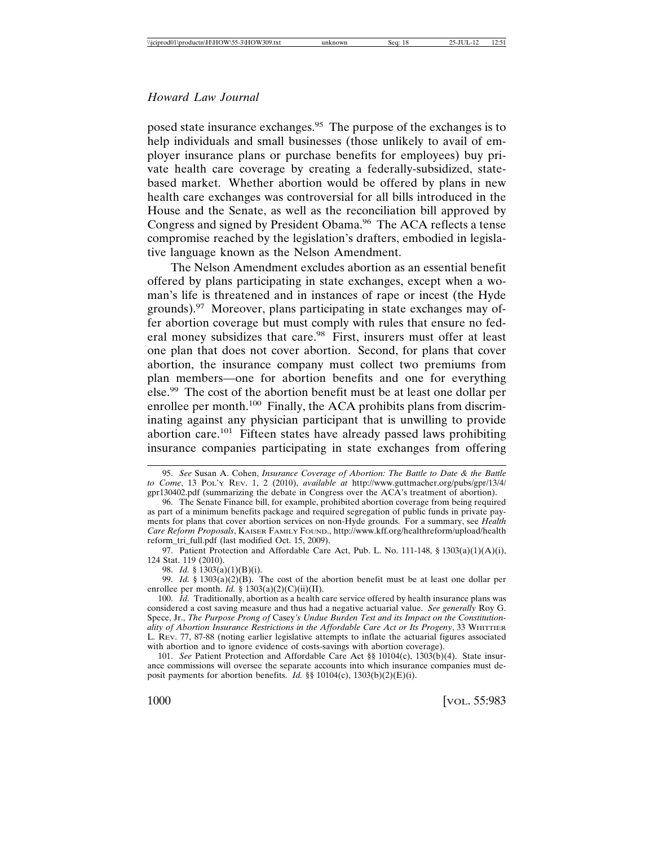posed state insurance exchanges.<sup>95</sup> The purpose of the exchanges is to help individuals and small businesses (those unlikely to avail of employer insurance plans or purchase benefits for employees) buy private health care coverage by creating a federally-subsidized, statebased market. Whether abortion would be offered by plans in new health care exchanges was controversial for all bills introduced in the House and the Senate, as well as the reconciliation bill approved by Congress and signed by President Obama.<sup>96</sup> The ACA reflects a tense compromise reached by the legislation's drafters, embodied in legislative language known as the Nelson Amendment.

The Nelson Amendment excludes abortion as an essential benefit offered by plans participating in state exchanges, except when a woman's life is threatened and in instances of rape or incest (the Hyde grounds).<sup>97</sup> Moreover, plans participating in state exchanges may offer abortion coverage but must comply with rules that ensure no federal money subsidizes that care.<sup>98</sup> First, insurers must offer at least one plan that does not cover abortion. Second, for plans that cover abortion, the insurance company must collect two premiums from plan members—one for abortion benefits and one for everything else.99 The cost of the abortion benefit must be at least one dollar per enrollee per month.<sup>100</sup> Finally, the ACA prohibits plans from discriminating against any physician participant that is unwilling to provide abortion care.<sup>101</sup> Fifteen states have already passed laws prohibiting insurance companies participating in state exchanges from offering

<sup>95.</sup> *See* Susan A. Cohen, *Insurance Coverage of Abortion: The Battle to Date & the Battle to Come*, 13 POL'Y REV. 1, 2 (2010), *available at* http://www.guttmacher.org/pubs/gpr/13/4/ gpr130402.pdf (summarizing the debate in Congress over the ACA's treatment of abortion).

<sup>96.</sup> The Senate Finance bill, for example, prohibited abortion coverage from being required as part of a minimum benefits package and required segregation of public funds in private payments for plans that cover abortion services on non-Hyde grounds. For a summary, see *Health Care Reform Proposals*, KAISER FAMILY FOUND., http://www.kff.org/healthreform/upload/health reform\_tri\_full.pdf (last modified Oct. 15, 2009).

<sup>97.</sup> Patient Protection and Affordable Care Act, Pub. L. No. 111-148,  $\S$  1303(a)(1)(A)(i), 124 Stat. 119 (2010).

<sup>98.</sup> *Id.* § 1303(a)(1)(B)(i).

<sup>99.</sup> *Id.* § 1303(a)(2)(B). The cost of the abortion benefit must be at least one dollar per enrollee per month. *Id.* § 1303(a)(2)(C)(ii)(II).

<sup>100.</sup> *Id.* Traditionally, abortion as a health care service offered by health insurance plans was considered a cost saving measure and thus had a negative actuarial value. *See generally* Roy G. Spece, Jr., *The Purpose Prong of* Casey*'s Undue Burden Test and its Impact on the Constitutionality of Abortion Insurance Restrictions in the Affordable Care Act or Its Progeny*, 33 WHITTIER L. REV. 77, 87-88 (noting earlier legislative attempts to inflate the actuarial figures associated with abortion and to ignore evidence of costs-savings with abortion coverage).

<sup>101.</sup> *See* Patient Protection and Affordable Care Act §§ 10104(c), 1303(b)(4). State insurance commissions will oversee the separate accounts into which insurance companies must deposit payments for abortion benefits. *Id.* §§ 10104(c), 1303(b)(2)(E)(i).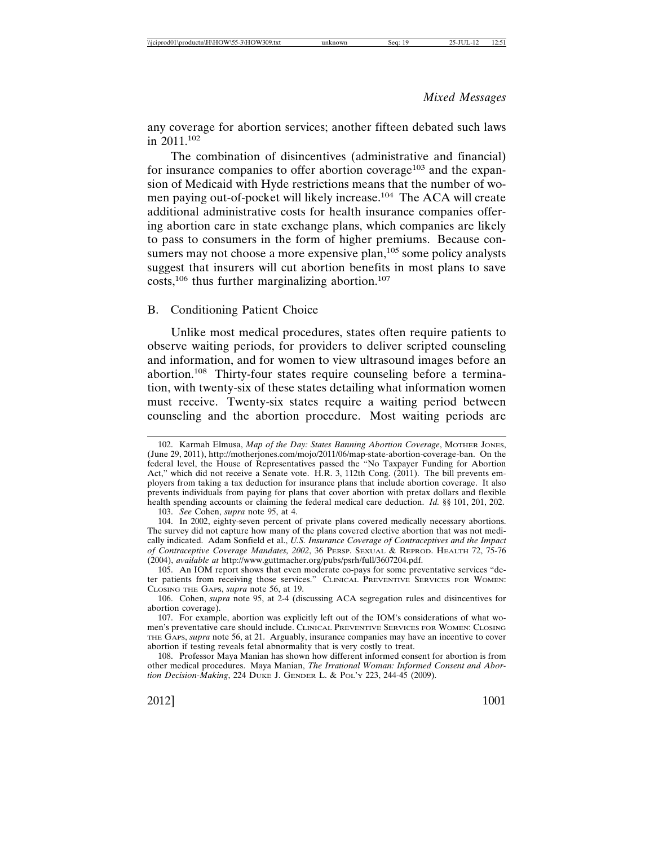any coverage for abortion services; another fifteen debated such laws in 2011.102

The combination of disincentives (administrative and financial) for insurance companies to offer abortion coverage<sup>103</sup> and the expansion of Medicaid with Hyde restrictions means that the number of women paying out-of-pocket will likely increase.<sup>104</sup> The ACA will create additional administrative costs for health insurance companies offering abortion care in state exchange plans, which companies are likely to pass to consumers in the form of higher premiums. Because consumers may not choose a more expensive plan,<sup>105</sup> some policy analysts suggest that insurers will cut abortion benefits in most plans to save  $costs<sub>106</sub>$  thus further marginalizing abortion.<sup>107</sup>

#### B. Conditioning Patient Choice

Unlike most medical procedures, states often require patients to observe waiting periods, for providers to deliver scripted counseling and information, and for women to view ultrasound images before an abortion.<sup>108</sup> Thirty-four states require counseling before a termination, with twenty-six of these states detailing what information women must receive. Twenty-six states require a waiting period between counseling and the abortion procedure. Most waiting periods are

<sup>102.</sup> Karmah Elmusa, *Map of the Day: States Banning Abortion Coverage*, MOTHER JONES, (June 29, 2011), http://motherjones.com/mojo/2011/06/map-state-abortion-coverage-ban. On the federal level, the House of Representatives passed the "No Taxpayer Funding for Abortion Act," which did not receive a Senate vote. H.R. 3, 112th Cong. (2011). The bill prevents employers from taking a tax deduction for insurance plans that include abortion coverage. It also prevents individuals from paying for plans that cover abortion with pretax dollars and flexible health spending accounts or claiming the federal medical care deduction. *Id.* §§ 101, 201, 202. 103. *See* Cohen, *supra* note 95, at 4.

<sup>104.</sup> In 2002, eighty-seven percent of private plans covered medically necessary abortions. The survey did not capture how many of the plans covered elective abortion that was not medically indicated. Adam Sonfield et al., *U.S. Insurance Coverage of Contraceptives and the Impact of Contraceptive Coverage Mandates, 2002*, 36 PERSP. SEXUAL & REPROD. HEALTH 72, 75-76 (2004), *available at* http://www.guttmacher.org/pubs/psrh/full/3607204.pdf.

<sup>105.</sup> An IOM report shows that even moderate co-pays for some preventative services "deter patients from receiving those services." CLINICAL PREVENTIVE SERVICES FOR WOMEN: CLOSING THE GAPS, *supra* note 56, at 19.

<sup>106.</sup> Cohen, *supra* note 95, at 2-4 (discussing ACA segregation rules and disincentives for abortion coverage).

<sup>107.</sup> For example, abortion was explicitly left out of the IOM's considerations of what women's preventative care should include. CLINICAL PREVENTIVE SERVICES FOR WOMEN: CLOSING THE GAPS, *supra* note 56, at 21. Arguably, insurance companies may have an incentive to cover abortion if testing reveals fetal abnormality that is very costly to treat.

<sup>108.</sup> Professor Maya Manian has shown how different informed consent for abortion is from other medical procedures. Maya Manian, *The Irrational Woman: Informed Consent and Abortion Decision-Making*, 224 DUKE J. GENDER L. & POL'Y 223, 244-45 (2009).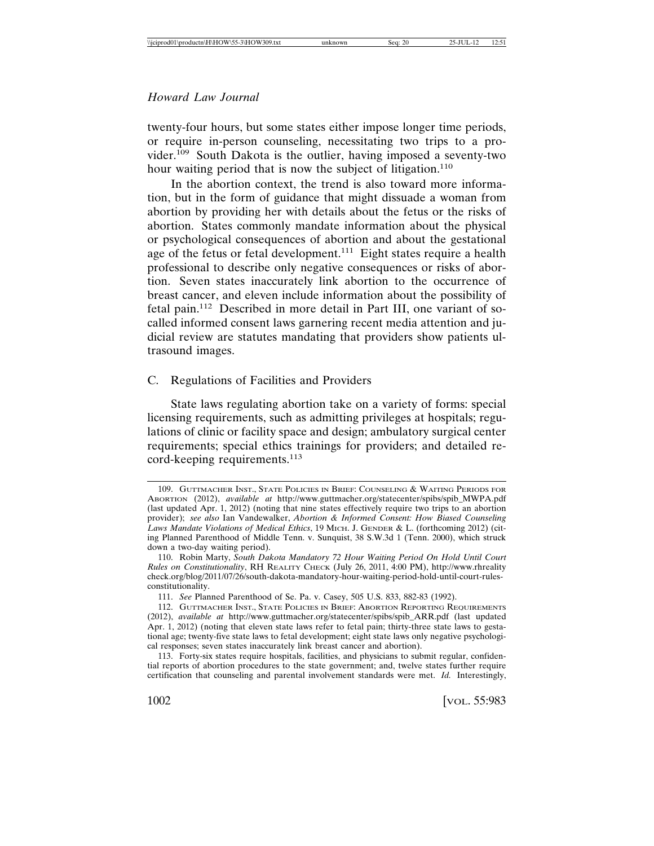twenty-four hours, but some states either impose longer time periods, or require in-person counseling, necessitating two trips to a provider.<sup>109</sup> South Dakota is the outlier, having imposed a seventy-two hour waiting period that is now the subject of litigation.<sup>110</sup>

In the abortion context, the trend is also toward more information, but in the form of guidance that might dissuade a woman from abortion by providing her with details about the fetus or the risks of abortion. States commonly mandate information about the physical or psychological consequences of abortion and about the gestational age of the fetus or fetal development.<sup>111</sup> Eight states require a health professional to describe only negative consequences or risks of abortion. Seven states inaccurately link abortion to the occurrence of breast cancer, and eleven include information about the possibility of fetal pain.112 Described in more detail in Part III, one variant of socalled informed consent laws garnering recent media attention and judicial review are statutes mandating that providers show patients ultrasound images.

## C. Regulations of Facilities and Providers

State laws regulating abortion take on a variety of forms: special licensing requirements, such as admitting privileges at hospitals; regulations of clinic or facility space and design; ambulatory surgical center requirements; special ethics trainings for providers; and detailed record-keeping requirements. $^{113}$ 

<sup>109.</sup> GUTTMACHER INST., STATE POLICIES IN BRIEF: COUNSELING & WAITING PERIODS FOR ABORTION (2012), *available at* http://www.guttmacher.org/statecenter/spibs/spib\_MWPA.pdf (last updated Apr. 1, 2012) (noting that nine states effectively require two trips to an abortion provider); *see also* Ian Vandewalker, *Abortion & Informed Consent: How Biased Counseling Laws Mandate Violations of Medical Ethics*, 19 MICH. J. GENDER & L. (forthcoming 2012) (citing Planned Parenthood of Middle Tenn. v. Sunquist, 38 S.W.3d 1 (Tenn. 2000), which struck down a two-day waiting period).

<sup>110.</sup> Robin Marty, *South Dakota Mandatory 72 Hour Waiting Period On Hold Until Court Rules on Constitutionality*, RH REALITY CHECK (July 26, 2011, 4:00 PM), http://www.rhreality check.org/blog/2011/07/26/south-dakota-mandatory-hour-waiting-period-hold-until-court-rulesconstitutionality.

<sup>111.</sup> *See* Planned Parenthood of Se. Pa. v. Casey, 505 U.S. 833, 882-83 (1992).

<sup>112.</sup> GUTTMACHER INST., STATE POLICIES IN BRIEF: ABORTION REPORTING REQUIREMENTS (2012), *available at* http://www.guttmacher.org/statecenter/spibs/spib\_ARR.pdf (last updated Apr. 1, 2012) (noting that eleven state laws refer to fetal pain; thirty-three state laws to gestational age; twenty-five state laws to fetal development; eight state laws only negative psychological responses; seven states inaccurately link breast cancer and abortion).

<sup>113.</sup> Forty-six states require hospitals, facilities, and physicians to submit regular, confidential reports of abortion procedures to the state government; and, twelve states further require certification that counseling and parental involvement standards were met. *Id.* Interestingly,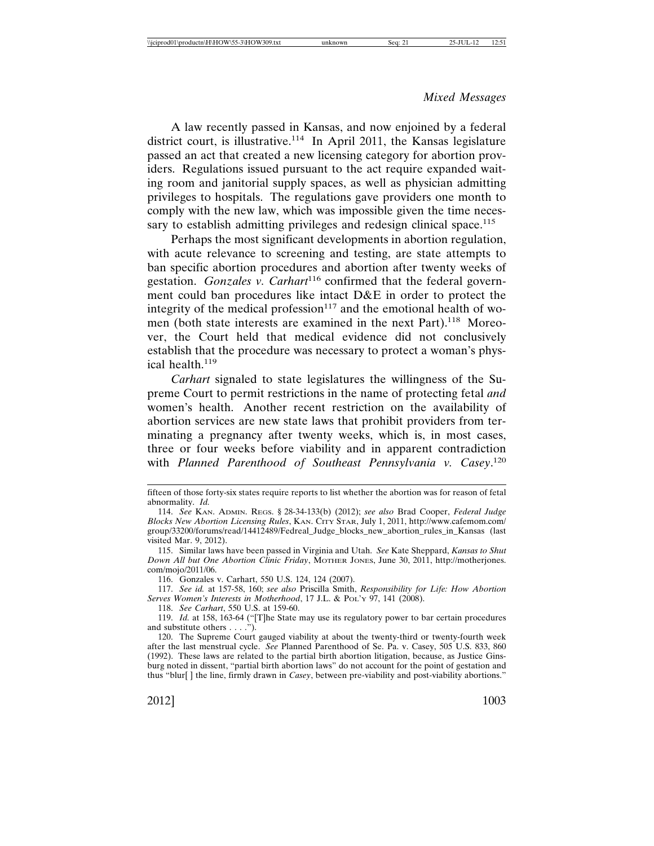A law recently passed in Kansas, and now enjoined by a federal district court, is illustrative.<sup>114</sup> In April 2011, the Kansas legislature passed an act that created a new licensing category for abortion providers. Regulations issued pursuant to the act require expanded waiting room and janitorial supply spaces, as well as physician admitting privileges to hospitals. The regulations gave providers one month to comply with the new law, which was impossible given the time necessary to establish admitting privileges and redesign clinical space.<sup>115</sup>

Perhaps the most significant developments in abortion regulation, with acute relevance to screening and testing, are state attempts to ban specific abortion procedures and abortion after twenty weeks of gestation. *Gonzales v. Carhart*116 confirmed that the federal government could ban procedures like intact D&E in order to protect the integrity of the medical profession $117$  and the emotional health of women (both state interests are examined in the next Part).<sup>118</sup> Moreover, the Court held that medical evidence did not conclusively establish that the procedure was necessary to protect a woman's physical health.<sup>119</sup>

*Carhart* signaled to state legislatures the willingness of the Supreme Court to permit restrictions in the name of protecting fetal *and* women's health. Another recent restriction on the availability of abortion services are new state laws that prohibit providers from terminating a pregnancy after twenty weeks, which is, in most cases, three or four weeks before viability and in apparent contradiction with *Planned Parenthood of Southeast Pennsylvania v. Casey*. 120

fifteen of those forty-six states require reports to list whether the abortion was for reason of fetal abnormality. *Id.*

<sup>114.</sup> *See* KAN. ADMIN. REGS. § 28-34-133(b) (2012); *see also* Brad Cooper, *Federal Judge Blocks New Abortion Licensing Rules*, KAN. CITY STAR, July 1, 2011, http://www.cafemom.com/ group/33200/forums/read/14412489/Fedreal\_Judge\_blocks\_new\_abortion\_rules\_in\_Kansas (last visited Mar. 9, 2012).

<sup>115.</sup> Similar laws have been passed in Virginia and Utah. *See* Kate Sheppard, *Kansas to Shut Down All but One Abortion Clinic Friday*, MOTHER JONES, June 30, 2011, http://motherjones. com/mojo/2011/06.

<sup>116.</sup> Gonzales v. Carhart, 550 U.S. 124, 124 (2007).

<sup>117.</sup> *See id.* at 157-58, 160; *see also* Priscilla Smith, *Responsibility for Life: How Abortion Serves Women's Interests in Motherhood*, 17 J.L. & POL'Y 97, 141 (2008).

<sup>118.</sup> *See Carhart*, 550 U.S. at 159-60.

<sup>119.</sup> *Id.* at 158, 163-64 ("[T]he State may use its regulatory power to bar certain procedures and substitute others . . . .").

<sup>120.</sup> The Supreme Court gauged viability at about the twenty-third or twenty-fourth week after the last menstrual cycle. *See* Planned Parenthood of Se. Pa. v. Casey, 505 U.S. 833, 860 (1992). These laws are related to the partial birth abortion litigation, because, as Justice Ginsburg noted in dissent, "partial birth abortion laws" do not account for the point of gestation and thus "blur[ ] the line, firmly drawn in *Casey*, between pre-viability and post-viability abortions."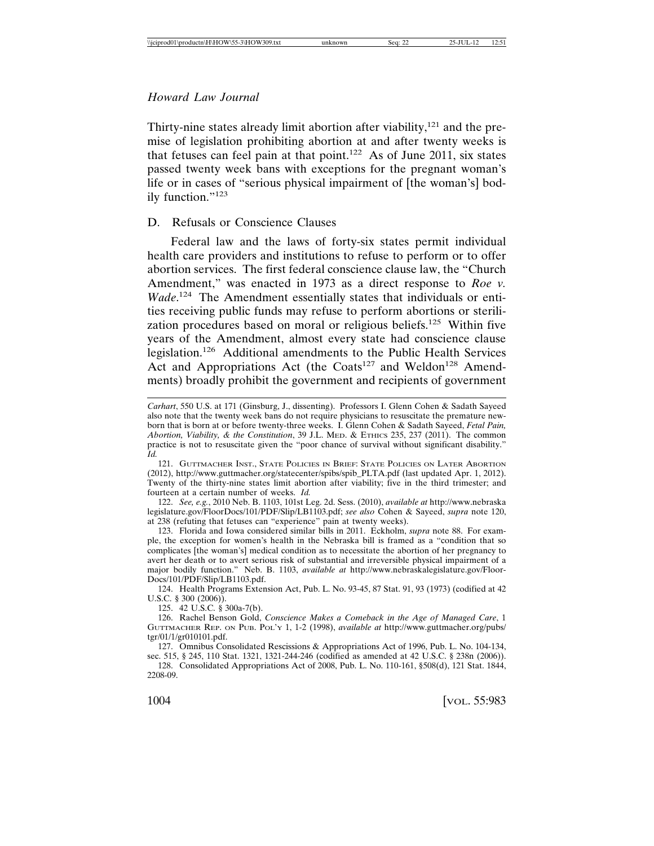Thirty-nine states already limit abortion after viability, $121$  and the premise of legislation prohibiting abortion at and after twenty weeks is that fetuses can feel pain at that point.<sup>122</sup> As of June 2011, six states passed twenty week bans with exceptions for the pregnant woman's life or in cases of "serious physical impairment of [the woman's] bodily function."<sup>123</sup>

# D. Refusals or Conscience Clauses

Federal law and the laws of forty-six states permit individual health care providers and institutions to refuse to perform or to offer abortion services. The first federal conscience clause law, the "Church Amendment," was enacted in 1973 as a direct response to *Roe v.* Wade.<sup>124</sup> The Amendment essentially states that individuals or entities receiving public funds may refuse to perform abortions or sterilization procedures based on moral or religious beliefs.<sup>125</sup> Within five years of the Amendment, almost every state had conscience clause legislation.126 Additional amendments to the Public Health Services Act and Appropriations Act (the Coats<sup>127</sup> and Weldon<sup>128</sup> Amendments) broadly prohibit the government and recipients of government

122. *See, e.g.*, 2010 Neb. B. 1103, 101st Leg. 2d. Sess. (2010), *available at* http://www.nebraska legislature.gov/FloorDocs/101/PDF/Slip/LB1103.pdf; *see also* Cohen & Sayeed, *supra* note 120, at 238 (refuting that fetuses can "experience" pain at twenty weeks).

123. Florida and Iowa considered similar bills in 2011. Eckholm, *supra* note 88. For example, the exception for women's health in the Nebraska bill is framed as a "condition that so complicates [the woman's] medical condition as to necessitate the abortion of her pregnancy to avert her death or to avert serious risk of substantial and irreversible physical impairment of a major bodily function." Neb. B. 1103, *available at* http://www.nebraskalegislature.gov/Floor-Docs/101/PDF/Slip/LB1103.pdf.

124. Health Programs Extension Act, Pub. L. No. 93-45, 87 Stat. 91, 93 (1973) (codified at 42 U.S.C. § 300 (2006)).

125. 42 U.S.C. § 300a-7(b).

126. Rachel Benson Gold, *Conscience Makes a Comeback in the Age of Managed Care*, 1 GUTTMACHER REP. ON PUB. POL'Y 1, 1-2 (1998), *available at* http://www.guttmacher.org/pubs/ tgr/01/1/gr010101.pdf.

127. Omnibus Consolidated Rescissions & Appropriations Act of 1996, Pub. L. No. 104-134, sec. 515, § 245, 110 Stat. 1321, 1321-244-246 (codified as amended at 42 U.S.C. § 238n (2006)).

128. Consolidated Appropriations Act of 2008, Pub. L. No. 110-161, §508(d), 121 Stat. 1844, 2208-09.

*Carhart*, 550 U.S. at 171 (Ginsburg, J., dissenting). Professors I. Glenn Cohen & Sadath Sayeed also note that the twenty week bans do not require physicians to resuscitate the premature newborn that is born at or before twenty-three weeks. I. Glenn Cohen & Sadath Sayeed, *Fetal Pain, Abortion, Viability, & the Constitution*, 39 J.L. MED. & ETHICS 235, 237 (2011). The common practice is not to resuscitate given the "poor chance of survival without significant disability." *Id.*

<sup>121.</sup> GUTTMACHER INST., STATE POLICIES IN BRIEF: STATE POLICIES ON LATER ABORTION (2012), http://www.guttmacher.org/statecenter/spibs/spib\_PLTA.pdf (last updated Apr. 1, 2012). Twenty of the thirty-nine states limit abortion after viability; five in the third trimester; and fourteen at a certain number of weeks. *Id.*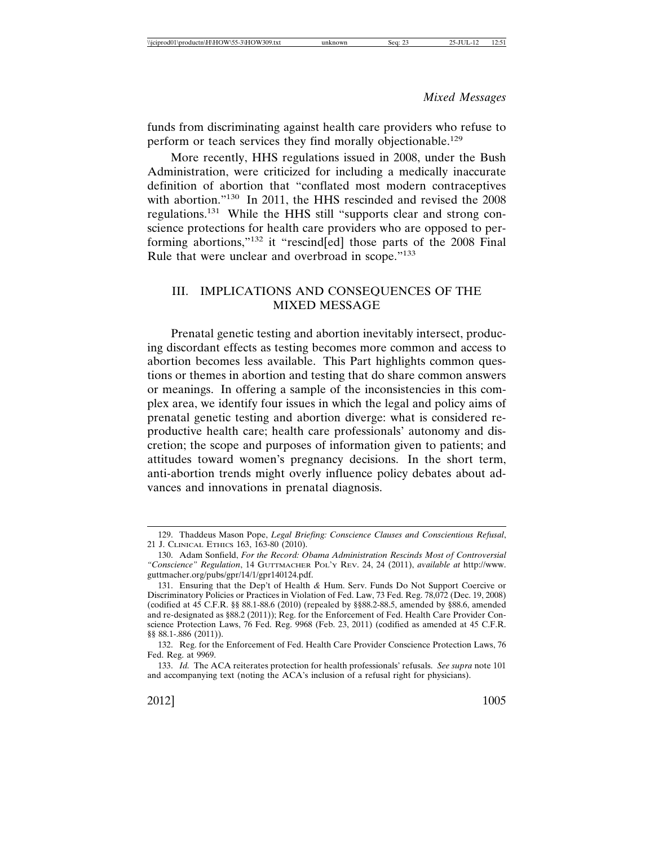funds from discriminating against health care providers who refuse to perform or teach services they find morally objectionable.<sup>129</sup>

More recently, HHS regulations issued in 2008, under the Bush Administration, were criticized for including a medically inaccurate definition of abortion that "conflated most modern contraceptives with abortion."<sup>130</sup> In 2011, the HHS rescinded and revised the 2008 regulations.131 While the HHS still "supports clear and strong conscience protections for health care providers who are opposed to performing abortions,"132 it "rescind[ed] those parts of the 2008 Final Rule that were unclear and overbroad in scope."<sup>133</sup>

# III. IMPLICATIONS AND CONSEQUENCES OF THE MIXED MESSAGE

Prenatal genetic testing and abortion inevitably intersect, producing discordant effects as testing becomes more common and access to abortion becomes less available. This Part highlights common questions or themes in abortion and testing that do share common answers or meanings. In offering a sample of the inconsistencies in this complex area, we identify four issues in which the legal and policy aims of prenatal genetic testing and abortion diverge: what is considered reproductive health care; health care professionals' autonomy and discretion; the scope and purposes of information given to patients; and attitudes toward women's pregnancy decisions. In the short term, anti-abortion trends might overly influence policy debates about advances and innovations in prenatal diagnosis.

<sup>129.</sup> Thaddeus Mason Pope, *Legal Briefing: Conscience Clauses and Conscientious Refusal*, 21 J. CLINICAL ETHICS 163, 163-80 (2010).

<sup>130.</sup> Adam Sonfield, *For the Record: Obama Administration Rescinds Most of Controversial "Conscience" Regulation*, 14 GUTTMACHER POL'Y REV. 24, 24 (2011), *available at* http://www. guttmacher.org/pubs/gpr/14/1/gpr140124.pdf.

<sup>131.</sup> Ensuring that the Dep't of Health *&* Hum. Serv. Funds Do Not Support Coercive or Discriminatory Policies or Practices in Violation of Fed. Law, 73 Fed. Reg. 78,072 (Dec. 19, 2008) (codified at 45 C.F.R. §§ 88.1-88.6 (2010) (repealed by §§88.2-88.5, amended by §88.6, amended and re-designated as §88.2 (2011)); Reg. for the Enforcement of Fed. Health Care Provider Conscience Protection Laws, 76 Fed. Reg. 9968 (Feb. 23, 2011) (codified as amended at 45 C.F.R. §§ 88.1-.886 (2011)).

<sup>132.</sup> Reg. for the Enforcement of Fed. Health Care Provider Conscience Protection Laws, 76 Fed. Reg. at 9969.

<sup>133.</sup> *Id.* The ACA reiterates protection for health professionals' refusals. *See supra* note 101 and accompanying text (noting the ACA's inclusion of a refusal right for physicians).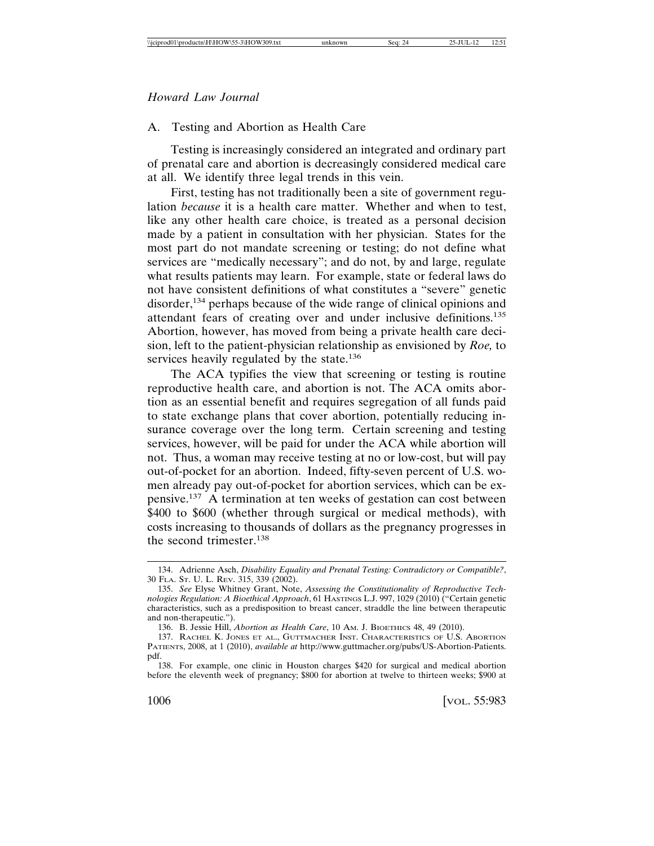# A. Testing and Abortion as Health Care

Testing is increasingly considered an integrated and ordinary part of prenatal care and abortion is decreasingly considered medical care at all. We identify three legal trends in this vein.

First, testing has not traditionally been a site of government regulation *because* it is a health care matter. Whether and when to test, like any other health care choice, is treated as a personal decision made by a patient in consultation with her physician. States for the most part do not mandate screening or testing; do not define what services are "medically necessary"; and do not, by and large, regulate what results patients may learn. For example, state or federal laws do not have consistent definitions of what constitutes a "severe" genetic disorder,<sup>134</sup> perhaps because of the wide range of clinical opinions and attendant fears of creating over and under inclusive definitions.<sup>135</sup> Abortion, however, has moved from being a private health care decision, left to the patient-physician relationship as envisioned by *Roe,* to services heavily regulated by the state.<sup>136</sup>

The ACA typifies the view that screening or testing is routine reproductive health care, and abortion is not. The ACA omits abortion as an essential benefit and requires segregation of all funds paid to state exchange plans that cover abortion, potentially reducing insurance coverage over the long term. Certain screening and testing services, however, will be paid for under the ACA while abortion will not. Thus, a woman may receive testing at no or low-cost, but will pay out-of-pocket for an abortion. Indeed, fifty-seven percent of U.S. women already pay out-of-pocket for abortion services, which can be expensive.137 A termination at ten weeks of gestation can cost between \$400 to \$600 (whether through surgical or medical methods), with costs increasing to thousands of dollars as the pregnancy progresses in the second trimester.<sup>138</sup>

<sup>134.</sup> Adrienne Asch, *Disability Equality and Prenatal Testing: Contradictory or Compatible?*, 30 FLA. ST. U. L. REV. 315, 339 (2002).

<sup>135.</sup> *See* Elyse Whitney Grant, Note, *Assessing the Constitutionality of Reproductive Technologies Regulation: A Bioethical Approach*, 61 HASTINGS L.J. 997, 1029 (2010) ("Certain genetic characteristics, such as a predisposition to breast cancer, straddle the line between therapeutic and non-therapeutic.").

<sup>136.</sup> B. Jessie Hill, *Abortion as Health Care*, 10 AM. J. BIOETHICS 48, 49 (2010).

<sup>137.</sup> RACHEL K. JONES ET AL., GUTTMACHER INST. CHARACTERISTICS OF U.S. ABORTION PATIENTS, 2008, at 1 (2010), *available at* http://www.guttmacher.org/pubs/US-Abortion-Patients. pdf.

<sup>138.</sup> For example, one clinic in Houston charges \$420 for surgical and medical abortion before the eleventh week of pregnancy; \$800 for abortion at twelve to thirteen weeks; \$900 at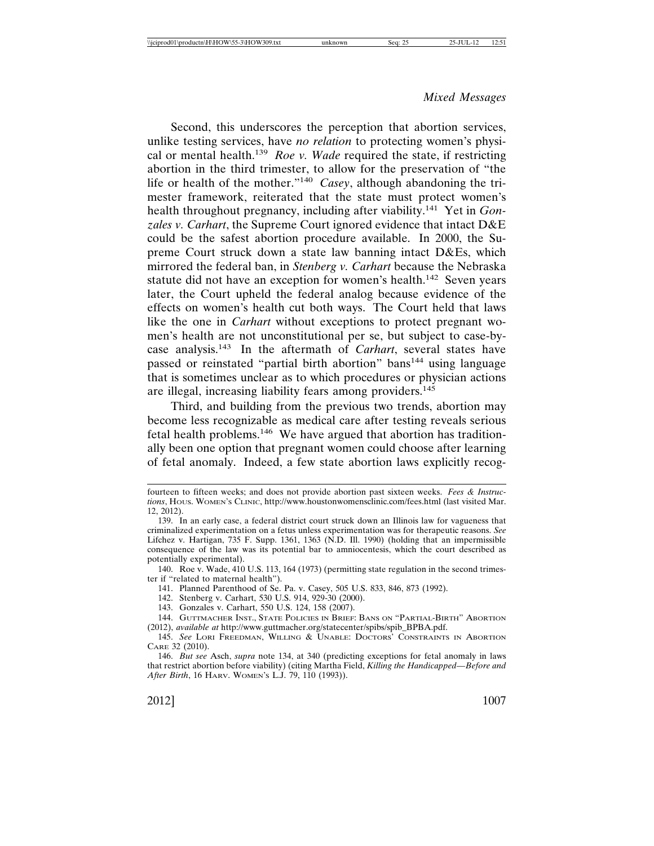Second, this underscores the perception that abortion services, unlike testing services, have *no relation* to protecting women's physical or mental health.<sup>139</sup> *Roe v. Wade* required the state, if restricting abortion in the third trimester, to allow for the preservation of "the life or health of the mother."<sup>140</sup> *Casey*, although abandoning the trimester framework, reiterated that the state must protect women's health throughout pregnancy, including after viability.141 Yet in *Gonzales v. Carhart*, the Supreme Court ignored evidence that intact D&E could be the safest abortion procedure available. In 2000, the Supreme Court struck down a state law banning intact D&Es, which mirrored the federal ban, in *Stenberg v. Carhart* because the Nebraska statute did not have an exception for women's health.<sup>142</sup> Seven years later, the Court upheld the federal analog because evidence of the effects on women's health cut both ways. The Court held that laws like the one in *Carhart* without exceptions to protect pregnant women's health are not unconstitutional per se, but subject to case-bycase analysis.143 In the aftermath of *Carhart*, several states have passed or reinstated "partial birth abortion" bans<sup>144</sup> using language that is sometimes unclear as to which procedures or physician actions are illegal, increasing liability fears among providers.<sup>145</sup>

Third, and building from the previous two trends, abortion may become less recognizable as medical care after testing reveals serious fetal health problems.<sup>146</sup> We have argued that abortion has traditionally been one option that pregnant women could choose after learning of fetal anomaly. Indeed, a few state abortion laws explicitly recog-

fourteen to fifteen weeks; and does not provide abortion past sixteen weeks. *Fees & Instructions*, HOUS. WOMEN'S CLINIC, http://www.houstonwomensclinic.com/fees.html (last visited Mar. 12, 2012).

<sup>139.</sup> In an early case, a federal district court struck down an Illinois law for vagueness that criminalized experimentation on a fetus unless experimentation was for therapeutic reasons. *See* Lifchez v. Hartigan, 735 F. Supp. 1361, 1363 (N.D. Ill. 1990) (holding that an impermissible consequence of the law was its potential bar to amniocentesis, which the court described as potentially experimental).

<sup>140.</sup> Roe v. Wade, 410 U.S. 113, 164 (1973) (permitting state regulation in the second trimester if "related to maternal health").

<sup>141.</sup> Planned Parenthood of Se. Pa. v. Casey, 505 U.S. 833, 846, 873 (1992).

<sup>142.</sup> Stenberg v. Carhart, 530 U.S. 914, 929-30 (2000).

<sup>143.</sup> Gonzales v. Carhart, 550 U.S. 124, 158 (2007).

<sup>144.</sup> GUTTMACHER INST., STATE POLICIES IN BRIEF: BANS ON "PARTIAL-BIRTH" ABORTION (2012), *available at* http://www.guttmacher.org/statecenter/spibs/spib\_BPBA.pdf.

<sup>145.</sup> *See* LORI FREEDMAN, WILLING & UNABLE: DOCTORS' CONSTRAINTS IN ABORTION CARE 32 (2010).

<sup>146.</sup> *But see* Asch, *supra* note 134, at 340 (predicting exceptions for fetal anomaly in laws that restrict abortion before viability) (citing Martha Field, *Killing the Handicapped—Before and After Birth*, 16 HARV. WOMEN'S L.J. 79, 110 (1993)).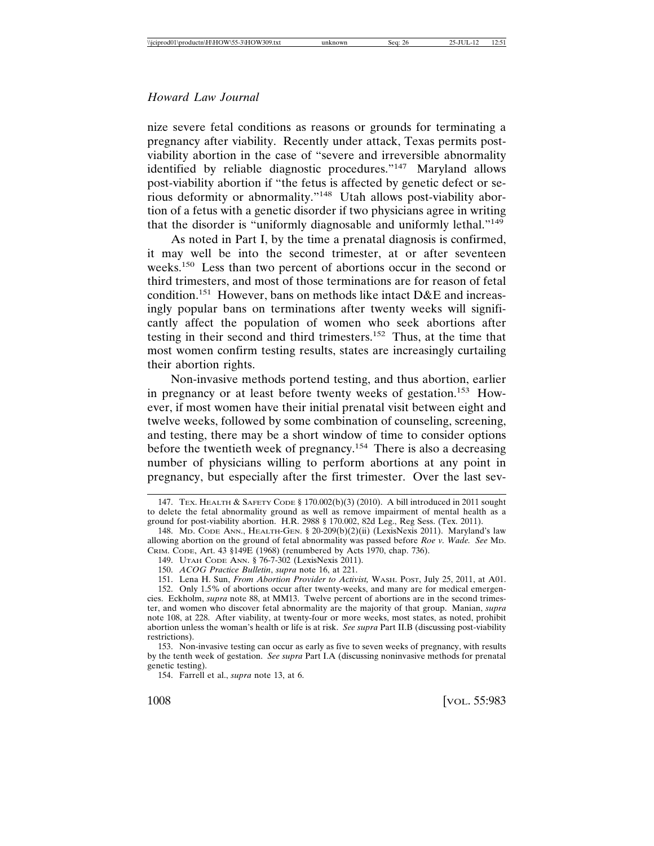nize severe fetal conditions as reasons or grounds for terminating a pregnancy after viability. Recently under attack, Texas permits postviability abortion in the case of "severe and irreversible abnormality identified by reliable diagnostic procedures."147 Maryland allows post-viability abortion if "the fetus is affected by genetic defect or serious deformity or abnormality."148 Utah allows post-viability abortion of a fetus with a genetic disorder if two physicians agree in writing that the disorder is "uniformly diagnosable and uniformly lethal."<sup>149</sup>

As noted in Part I, by the time a prenatal diagnosis is confirmed, it may well be into the second trimester, at or after seventeen weeks.150 Less than two percent of abortions occur in the second or third trimesters, and most of those terminations are for reason of fetal condition.<sup>151</sup> However, bans on methods like intact  $D&E$  and increasingly popular bans on terminations after twenty weeks will significantly affect the population of women who seek abortions after testing in their second and third trimesters.152 Thus, at the time that most women confirm testing results, states are increasingly curtailing their abortion rights.

Non-invasive methods portend testing, and thus abortion, earlier in pregnancy or at least before twenty weeks of gestation.<sup>153</sup> However, if most women have their initial prenatal visit between eight and twelve weeks, followed by some combination of counseling, screening, and testing, there may be a short window of time to consider options before the twentieth week of pregnancy.<sup>154</sup> There is also a decreasing number of physicians willing to perform abortions at any point in pregnancy, but especially after the first trimester. Over the last sev-

<sup>147.</sup> TEX. HEALTH & SAFETY CODE § 170.002(b)(3) (2010). A bill introduced in 2011 sought to delete the fetal abnormality ground as well as remove impairment of mental health as a ground for post-viability abortion. H.R. 2988 § 170.002, 82d Leg., Reg Sess. (Tex. 2011).

<sup>148.</sup> MD. CODE ANN., HEALTH-GEN. § 20-209(b)(2)(ii) (LexisNexis 2011). Maryland's law allowing abortion on the ground of fetal abnormality was passed before *Roe v. Wade. See* MD. CRIM. CODE, Art. 43 §149E (1968) (renumbered by Acts 1970, chap. 736).

<sup>149.</sup> UTAH CODE ANN. § 76-7-302 (LexisNexis 2011).

<sup>150.</sup> *ACOG Practice Bulletin*, *supra* note 16, at 221.

<sup>151.</sup> Lena H. Sun, *From Abortion Provider to Activist,* WASH. POST, July 25, 2011, at A01.

<sup>152.</sup> Only 1.5% of abortions occur after twenty-weeks, and many are for medical emergencies. Eckholm, *supra* note 88, at MM13. Twelve percent of abortions are in the second trimester, and women who discover fetal abnormality are the majority of that group. Manian, *supra* note 108, at 228. After viability, at twenty-four or more weeks, most states, as noted, prohibit abortion unless the woman's health or life is at risk. *See supra* Part II.B (discussing post-viability restrictions).

<sup>153.</sup> Non-invasive testing can occur as early as five to seven weeks of pregnancy, with results by the tenth week of gestation. *See supra* Part I.A (discussing noninvasive methods for prenatal genetic testing).

<sup>154.</sup> Farrell et al., *supra* note 13, at 6.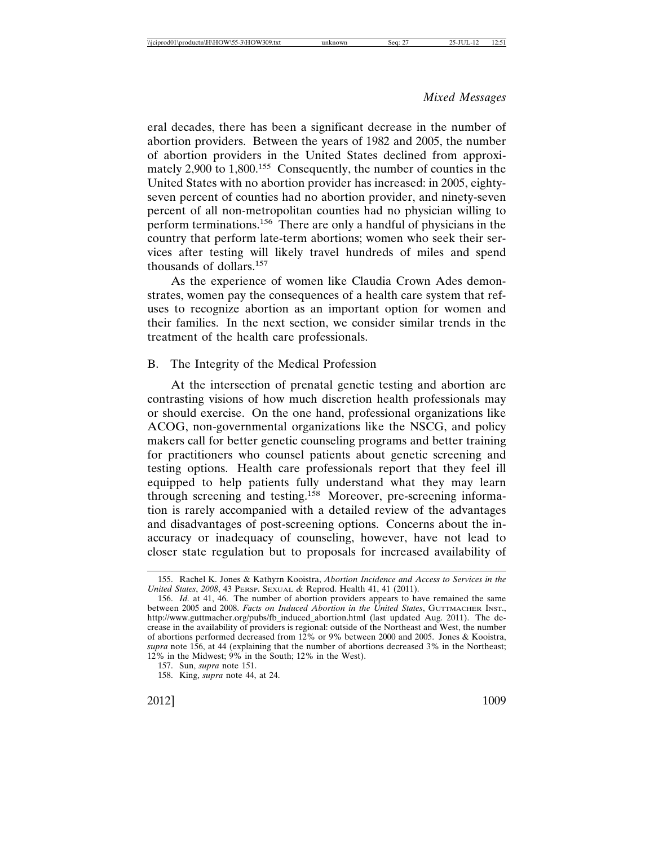eral decades, there has been a significant decrease in the number of abortion providers. Between the years of 1982 and 2005, the number of abortion providers in the United States declined from approximately 2,900 to  $1,800^{155}$  Consequently, the number of counties in the United States with no abortion provider has increased: in 2005, eightyseven percent of counties had no abortion provider, and ninety-seven percent of all non-metropolitan counties had no physician willing to perform terminations.156 There are only a handful of physicians in the country that perform late-term abortions; women who seek their services after testing will likely travel hundreds of miles and spend thousands of dollars.<sup>157</sup>

As the experience of women like Claudia Crown Ades demonstrates, women pay the consequences of a health care system that refuses to recognize abortion as an important option for women and their families. In the next section, we consider similar trends in the treatment of the health care professionals.

#### B. The Integrity of the Medical Profession

At the intersection of prenatal genetic testing and abortion are contrasting visions of how much discretion health professionals may or should exercise. On the one hand, professional organizations like ACOG, non-governmental organizations like the NSCG, and policy makers call for better genetic counseling programs and better training for practitioners who counsel patients about genetic screening and testing options. Health care professionals report that they feel ill equipped to help patients fully understand what they may learn through screening and testing.158 Moreover, pre-screening information is rarely accompanied with a detailed review of the advantages and disadvantages of post-screening options. Concerns about the inaccuracy or inadequacy of counseling, however, have not lead to closer state regulation but to proposals for increased availability of

<sup>155.</sup> Rachel K. Jones & Kathyrn Kooistra, *Abortion Incidence and Access to Services in the United States*, *2008*, 43 PERSP. SEXUAL *&* Reprod. Health 41, 41 (2011).

<sup>156.</sup> *Id.* at 41, 46. The number of abortion providers appears to have remained the same between 2005 and 2008. *Facts on Induced Abortion in the United States*, GUTTMACHER INST., http://www.guttmacher.org/pubs/fb\_induced\_abortion.html (last updated Aug. 2011). The decrease in the availability of providers is regional: outside of the Northeast and West, the number of abortions performed decreased from 12% or 9% between 2000 and 2005. Jones & Kooistra, *supra* note 156, at 44 (explaining that the number of abortions decreased 3% in the Northeast; 12% in the Midwest; 9% in the South; 12% in the West).

<sup>157.</sup> Sun, *supra* note 151.

<sup>158.</sup> King, *supra* note 44, at 24.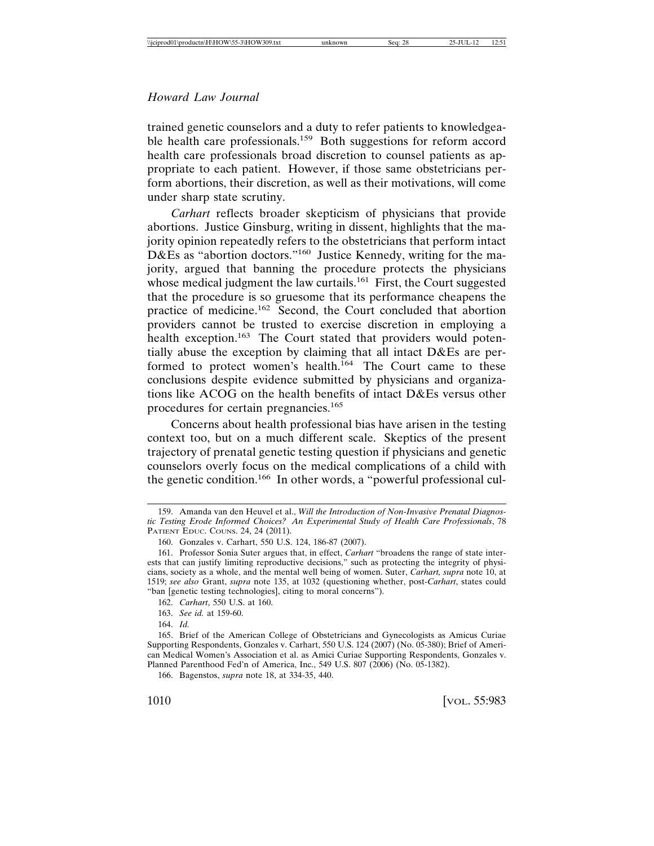trained genetic counselors and a duty to refer patients to knowledgeable health care professionals.<sup>159</sup> Both suggestions for reform accord health care professionals broad discretion to counsel patients as appropriate to each patient. However, if those same obstetricians perform abortions, their discretion, as well as their motivations, will come under sharp state scrutiny.

*Carhart* reflects broader skepticism of physicians that provide abortions. Justice Ginsburg, writing in dissent, highlights that the majority opinion repeatedly refers to the obstetricians that perform intact D&Es as "abortion doctors."<sup>160</sup> Justice Kennedy, writing for the majority, argued that banning the procedure protects the physicians whose medical judgment the law curtails.<sup>161</sup> First, the Court suggested that the procedure is so gruesome that its performance cheapens the practice of medicine.162 Second, the Court concluded that abortion providers cannot be trusted to exercise discretion in employing a health exception.<sup>163</sup> The Court stated that providers would potentially abuse the exception by claiming that all intact D&Es are performed to protect women's health.<sup>164</sup> The Court came to these conclusions despite evidence submitted by physicians and organizations like ACOG on the health benefits of intact D&Es versus other procedures for certain pregnancies.<sup>165</sup>

Concerns about health professional bias have arisen in the testing context too, but on a much different scale. Skeptics of the present trajectory of prenatal genetic testing question if physicians and genetic counselors overly focus on the medical complications of a child with the genetic condition.<sup>166</sup> In other words, a "powerful professional cul-

<sup>159.</sup> Amanda van den Heuvel et al., *Will the Introduction of Non-Invasive Prenatal Diagnostic Testing Erode Informed Choices? An Experimental Study of Health Care Professionals*, 78 PATIENT EDUC. COUNS. 24, 24 (2011).

<sup>160.</sup> Gonzales v. Carhart, 550 U.S. 124, 186-87 (2007).

<sup>161.</sup> Professor Sonia Suter argues that, in effect, *Carhart* "broadens the range of state interests that can justify limiting reproductive decisions," such as protecting the integrity of physicians, society as a whole, and the mental well being of women. Suter, *Carhart, supra* note 10, at 1519; *see also* Grant, *supra* note 135, at 1032 (questioning whether, post-*Carhart*, states could "ban [genetic testing technologies], citing to moral concerns").

<sup>162.</sup> *Carhart*, 550 U.S. at 160.

<sup>163.</sup> *See id.* at 159-60.

<sup>164.</sup> *Id.*

<sup>165.</sup> Brief of the American College of Obstetricians and Gynecologists as Amicus Curiae Supporting Respondents, Gonzales v. Carhart, 550 U.S. 124 (2007) (No. 05-380); Brief of American Medical Women's Association et al. as Amici Curiae Supporting Respondents, Gonzales v. Planned Parenthood Fed'n of America, Inc., 549 U.S. 807 (2006) (No. 05-1382).

<sup>166.</sup> Bagenstos, *supra* note 18, at 334-35, 440.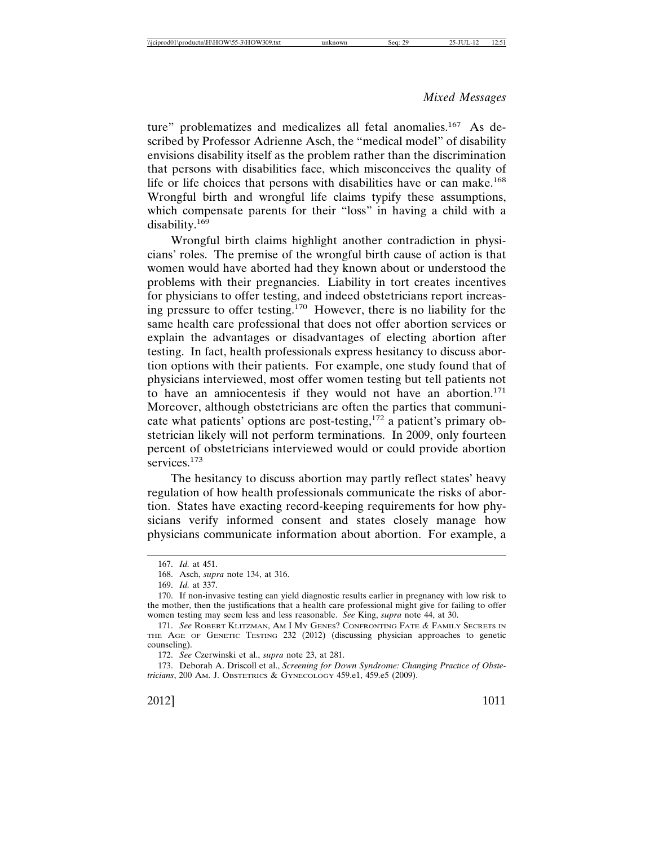ture" problematizes and medicalizes all fetal anomalies.<sup>167</sup> As described by Professor Adrienne Asch, the "medical model" of disability envisions disability itself as the problem rather than the discrimination that persons with disabilities face, which misconceives the quality of life or life choices that persons with disabilities have or can make.<sup>168</sup> Wrongful birth and wrongful life claims typify these assumptions, which compensate parents for their "loss" in having a child with a disability.<sup>169</sup>

Wrongful birth claims highlight another contradiction in physicians' roles. The premise of the wrongful birth cause of action is that women would have aborted had they known about or understood the problems with their pregnancies. Liability in tort creates incentives for physicians to offer testing, and indeed obstetricians report increasing pressure to offer testing.170 However, there is no liability for the same health care professional that does not offer abortion services or explain the advantages or disadvantages of electing abortion after testing. In fact, health professionals express hesitancy to discuss abortion options with their patients. For example, one study found that of physicians interviewed, most offer women testing but tell patients not to have an amniocentesis if they would not have an abortion.<sup>171</sup> Moreover, although obstetricians are often the parties that communicate what patients' options are post-testing,  $172$  a patient's primary obstetrician likely will not perform terminations. In 2009, only fourteen percent of obstetricians interviewed would or could provide abortion services.<sup>173</sup>

The hesitancy to discuss abortion may partly reflect states' heavy regulation of how health professionals communicate the risks of abortion. States have exacting record-keeping requirements for how physicians verify informed consent and states closely manage how physicians communicate information about abortion. For example, a

<sup>167.</sup> *Id.* at 451.

<sup>168.</sup> Asch, *supra* note 134, at 316.

<sup>169.</sup> *Id.* at 337.

<sup>170.</sup> If non-invasive testing can yield diagnostic results earlier in pregnancy with low risk to the mother, then the justifications that a health care professional might give for failing to offer women testing may seem less and less reasonable. *See* King, *supra* note 44, at 30.

<sup>171.</sup> *See* ROBERT KLITZMAN, AM I MY GENES? CONFRONTING FATE *&* FAMILY SECRETS IN THE AGE OF GENETIC TESTING 232 (2012) (discussing physician approaches to genetic counseling).

<sup>172.</sup> *See* Czerwinski et al., *supra* note 23, at 281.

<sup>173.</sup> Deborah A. Driscoll et al., *Screening for Down Syndrome: Changing Practice of Obstetricians*, 200 AM. J. OBSTETRICS & GYNECOLOGY 459.e1, 459.e5 (2009).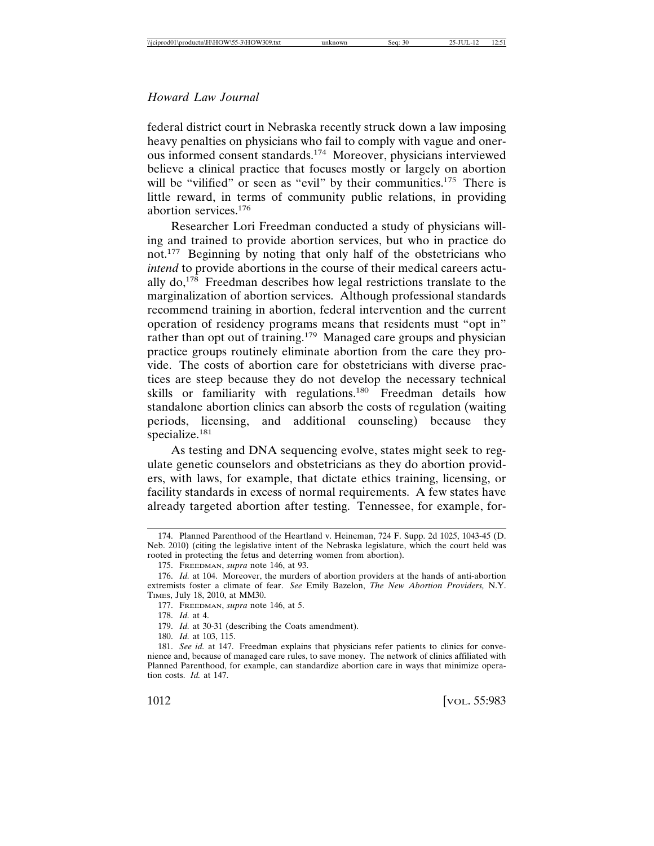federal district court in Nebraska recently struck down a law imposing heavy penalties on physicians who fail to comply with vague and onerous informed consent standards.174 Moreover, physicians interviewed believe a clinical practice that focuses mostly or largely on abortion will be "vilified" or seen as "evil" by their communities.<sup>175</sup> There is little reward, in terms of community public relations, in providing abortion services.176

Researcher Lori Freedman conducted a study of physicians willing and trained to provide abortion services, but who in practice do not.<sup>177</sup> Beginning by noting that only half of the obstetricians who *intend* to provide abortions in the course of their medical careers actually  $do<sup>178</sup>$ . Freedman describes how legal restrictions translate to the marginalization of abortion services. Although professional standards recommend training in abortion, federal intervention and the current operation of residency programs means that residents must "opt in" rather than opt out of training.<sup>179</sup> Managed care groups and physician practice groups routinely eliminate abortion from the care they provide. The costs of abortion care for obstetricians with diverse practices are steep because they do not develop the necessary technical skills or familiarity with regulations.<sup>180</sup> Freedman details how standalone abortion clinics can absorb the costs of regulation (waiting periods, licensing, and additional counseling) because they specialize.<sup>181</sup>

As testing and DNA sequencing evolve, states might seek to regulate genetic counselors and obstetricians as they do abortion providers, with laws, for example, that dictate ethics training, licensing, or facility standards in excess of normal requirements. A few states have already targeted abortion after testing. Tennessee, for example, for-

<sup>174.</sup> Planned Parenthood of the Heartland v. Heineman, 724 F. Supp. 2d 1025, 1043-45 (D. Neb. 2010) (citing the legislative intent of the Nebraska legislature, which the court held was rooted in protecting the fetus and deterring women from abortion).

<sup>175.</sup> FREEDMAN, *supra* note 146, at 93.

<sup>176.</sup> *Id.* at 104. Moreover, the murders of abortion providers at the hands of anti-abortion extremists foster a climate of fear. *See* Emily Bazelon, *The New Abortion Providers,* N.Y. TIMES, July 18, 2010, at MM30.

<sup>177.</sup> FREEDMAN, *supra* note 146, at 5.

<sup>178.</sup> *Id.* at 4.

<sup>179.</sup> *Id.* at 30-31 (describing the Coats amendment).

<sup>180.</sup> *Id.* at 103, 115.

<sup>181.</sup> *See id.* at 147. Freedman explains that physicians refer patients to clinics for convenience and, because of managed care rules, to save money. The network of clinics affiliated with Planned Parenthood, for example, can standardize abortion care in ways that minimize operation costs. *Id.* at 147.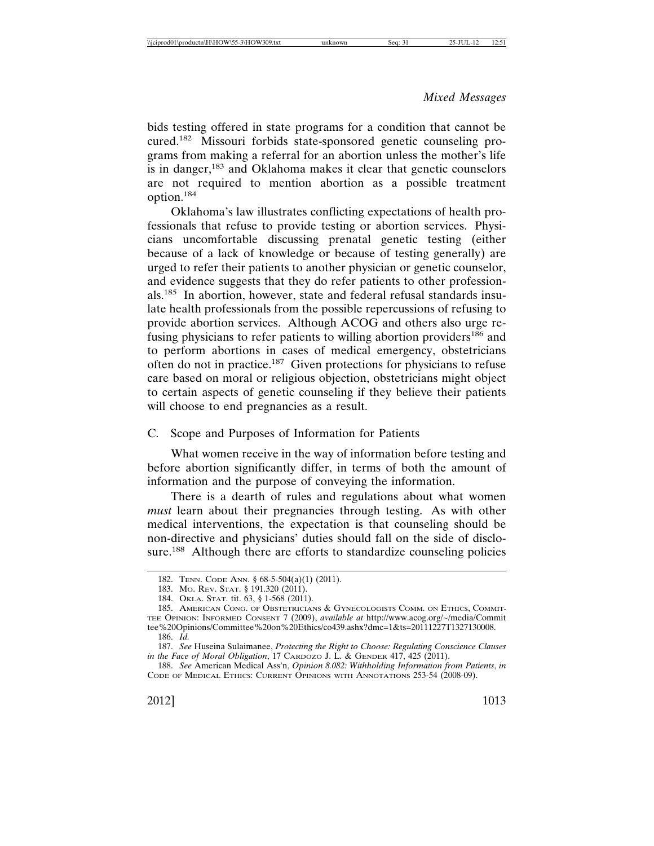bids testing offered in state programs for a condition that cannot be cured.182 Missouri forbids state-sponsored genetic counseling programs from making a referral for an abortion unless the mother's life is in danger, $183$  and Oklahoma makes it clear that genetic counselors are not required to mention abortion as a possible treatment option.184

Oklahoma's law illustrates conflicting expectations of health professionals that refuse to provide testing or abortion services. Physicians uncomfortable discussing prenatal genetic testing (either because of a lack of knowledge or because of testing generally) are urged to refer their patients to another physician or genetic counselor, and evidence suggests that they do refer patients to other professionals.185 In abortion, however, state and federal refusal standards insulate health professionals from the possible repercussions of refusing to provide abortion services. Although ACOG and others also urge refusing physicians to refer patients to willing abortion providers $186$  and to perform abortions in cases of medical emergency, obstetricians often do not in practice.187 Given protections for physicians to refuse care based on moral or religious objection, obstetricians might object to certain aspects of genetic counseling if they believe their patients will choose to end pregnancies as a result.

## C. Scope and Purposes of Information for Patients

What women receive in the way of information before testing and before abortion significantly differ, in terms of both the amount of information and the purpose of conveying the information.

There is a dearth of rules and regulations about what women *must* learn about their pregnancies through testing. As with other medical interventions, the expectation is that counseling should be non-directive and physicians' duties should fall on the side of disclosure.<sup>188</sup> Although there are efforts to standardize counseling policies

<sup>182.</sup> TENN. CODE ANN. § 68-5-504(a)(1) (2011).

<sup>183.</sup> MO. REV. STAT. § 191.320 (2011).

<sup>184.</sup> OKLA. STAT. tit. 63, § 1-568 (2011).

<sup>185.</sup> AMERICAN CONG. OF OBSTETRICIANS & GYNECOLOGISTS COMM. ON ETHICS, COMMIT-TEE OPINION: INFORMED CONSENT 7 (2009), *available at* http://www.acog.org/~/media/Commit tee%20Opinions/Committee%20on%20Ethics/co439.ashx?dmc=1&ts=20111227T1327130008. 186. *Id.*

<sup>187.</sup> *See* Huseina Sulaimanee, *Protecting the Right to Choose: Regulating Conscience Clauses in the Face of Moral Obligation*, 17 CARDOZO J. L. & GENDER 417, 425 (2011).

<sup>188.</sup> *See* American Medical Ass'n, *Opinion 8.082: Withholding Information from Patients*, *in* CODE OF MEDICAL ETHICS: CURRENT OPINIONS WITH ANNOTATIONS 253-54 (2008-09).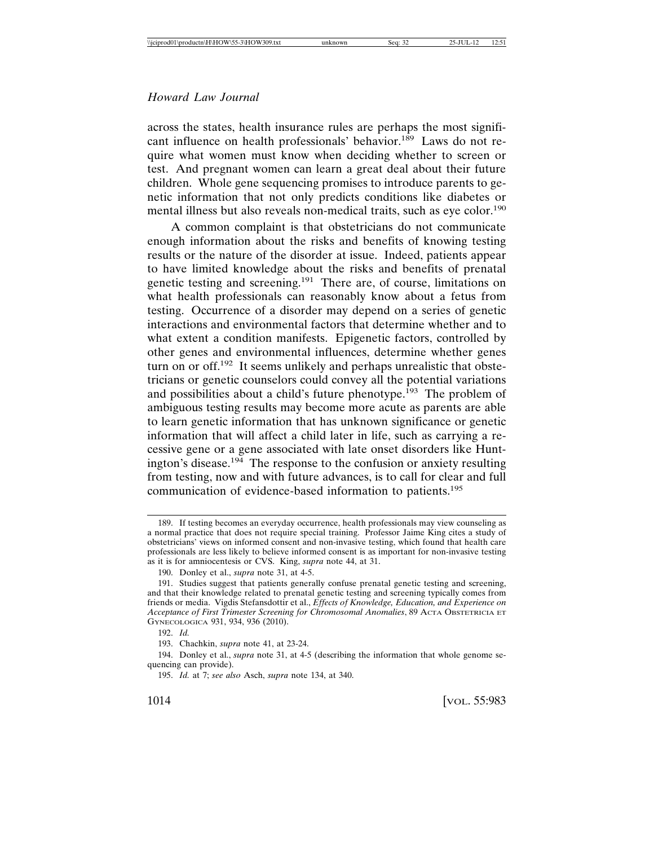across the states, health insurance rules are perhaps the most significant influence on health professionals' behavior.<sup>189</sup> Laws do not require what women must know when deciding whether to screen or test. And pregnant women can learn a great deal about their future children. Whole gene sequencing promises to introduce parents to genetic information that not only predicts conditions like diabetes or mental illness but also reveals non-medical traits, such as eye color.<sup>190</sup>

A common complaint is that obstetricians do not communicate enough information about the risks and benefits of knowing testing results or the nature of the disorder at issue. Indeed, patients appear to have limited knowledge about the risks and benefits of prenatal genetic testing and screening.<sup>191</sup> There are, of course, limitations on what health professionals can reasonably know about a fetus from testing. Occurrence of a disorder may depend on a series of genetic interactions and environmental factors that determine whether and to what extent a condition manifests. Epigenetic factors, controlled by other genes and environmental influences, determine whether genes turn on or off.<sup>192</sup> It seems unlikely and perhaps unrealistic that obstetricians or genetic counselors could convey all the potential variations and possibilities about a child's future phenotype.<sup>193</sup> The problem of ambiguous testing results may become more acute as parents are able to learn genetic information that has unknown significance or genetic information that will affect a child later in life, such as carrying a recessive gene or a gene associated with late onset disorders like Huntington's disease.<sup>194</sup> The response to the confusion or anxiety resulting from testing, now and with future advances, is to call for clear and full communication of evidence-based information to patients.<sup>195</sup>

<sup>189.</sup> If testing becomes an everyday occurrence, health professionals may view counseling as a normal practice that does not require special training. Professor Jaime King cites a study of obstetricians' views on informed consent and non-invasive testing, which found that health care professionals are less likely to believe informed consent is as important for non-invasive testing as it is for amniocentesis or CVS. King, *supra* note 44, at 31.

<sup>190.</sup> Donley et al., *supra* note 31, at 4-5.

<sup>191.</sup> Studies suggest that patients generally confuse prenatal genetic testing and screening, and that their knowledge related to prenatal genetic testing and screening typically comes from friends or media. Vigdis Stefansdottir et al., *Effects of Knowledge, Education, and Experience on Acceptance of First Trimester Screening for Chromosomal Anomalies*, 89 ACTA OBSTETRICIA ET GYNECOLOGICA 931, 934, 936 (2010).

<sup>192.</sup> *Id.*

<sup>193.</sup> Chachkin, *supra* note 41, at 23-24.

<sup>194.</sup> Donley et al., *supra* note 31, at 4-5 (describing the information that whole genome sequencing can provide).

<sup>195.</sup> *Id.* at 7; *see also* Asch, *supra* note 134, at 340.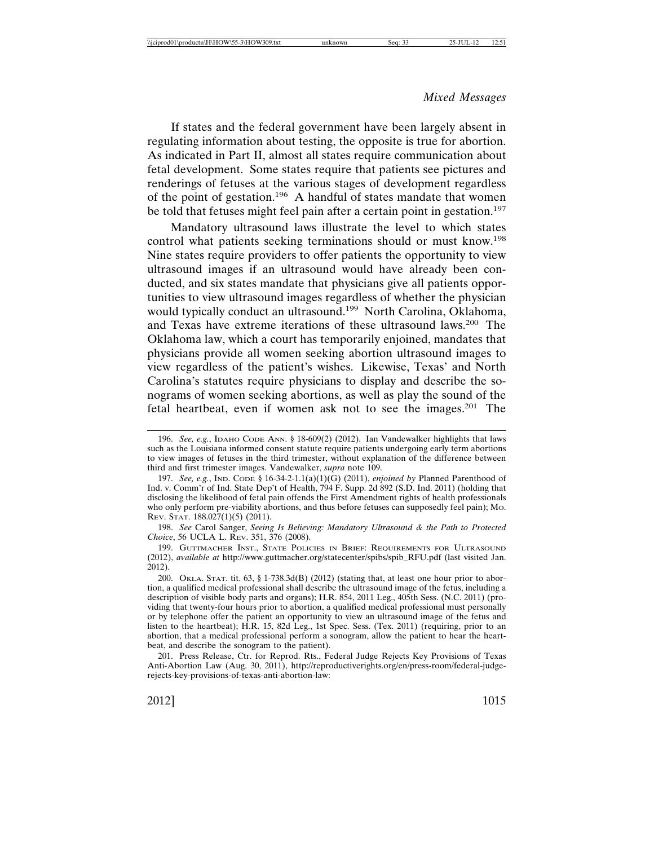If states and the federal government have been largely absent in regulating information about testing, the opposite is true for abortion. As indicated in Part II, almost all states require communication about fetal development. Some states require that patients see pictures and renderings of fetuses at the various stages of development regardless of the point of gestation.<sup>196</sup> A handful of states mandate that women be told that fetuses might feel pain after a certain point in gestation.<sup>197</sup>

Mandatory ultrasound laws illustrate the level to which states control what patients seeking terminations should or must know.<sup>198</sup> Nine states require providers to offer patients the opportunity to view ultrasound images if an ultrasound would have already been conducted, and six states mandate that physicians give all patients opportunities to view ultrasound images regardless of whether the physician would typically conduct an ultrasound.<sup>199</sup> North Carolina, Oklahoma, and Texas have extreme iterations of these ultrasound laws.200 The Oklahoma law, which a court has temporarily enjoined, mandates that physicians provide all women seeking abortion ultrasound images to view regardless of the patient's wishes. Likewise, Texas' and North Carolina's statutes require physicians to display and describe the sonograms of women seeking abortions, as well as play the sound of the fetal heartbeat, even if women ask not to see the images.201 The

<sup>196.</sup> *See, e.g.*, IDAHO CODE ANN. § 18-609(2) (2012). Ian Vandewalker highlights that laws such as the Louisiana informed consent statute require patients undergoing early term abortions to view images of fetuses in the third trimester, without explanation of the difference between third and first trimester images. Vandewalker, *supra* note 109.

<sup>197.</sup> *See, e.g.*, IND. CODE § 16-34-2-1.1(a)(1)(G) (2011), *enjoined by* Planned Parenthood of Ind. v. Comm'r of Ind. State Dep't of Health, 794 F. Supp. 2d 892 (S.D. Ind. 2011) (holding that disclosing the likelihood of fetal pain offends the First Amendment rights of health professionals who only perform pre-viability abortions, and thus before fetuses can supposedly feel pain); MO. REV. STAT. 188.027(1)(5) (2011).

<sup>198.</sup> *See* Carol Sanger, *Seeing Is Believing: Mandatory Ultrasound & the Path to Protected Choice*, 56 UCLA L. REV. 351, 376 (2008).

<sup>199.</sup> GUTTMACHER INST., STATE POLICIES IN BRIEF: REQUIREMENTS FOR ULTRASOUND (2012), *available at* http://www.guttmacher.org/statecenter/spibs/spib\_RFU.pdf (last visited Jan. 2012).

<sup>200.</sup> OKLA. STAT. tit. 63, § 1-738.3d(B) (2012) (stating that, at least one hour prior to abortion, a qualified medical professional shall describe the ultrasound image of the fetus, including a description of visible body parts and organs); H.R. 854, 2011 Leg., 405th Sess. (N.C. 2011) (providing that twenty-four hours prior to abortion, a qualified medical professional must personally or by telephone offer the patient an opportunity to view an ultrasound image of the fetus and listen to the heartbeat); H.R. 15, 82d Leg., 1st Spec. Sess. (Tex. 2011) (requiring, prior to an abortion, that a medical professional perform a sonogram, allow the patient to hear the heartbeat, and describe the sonogram to the patient).

<sup>201.</sup> Press Release, Ctr. for Reprod. Rts., Federal Judge Rejects Key Provisions of Texas Anti-Abortion Law (Aug. 30, 2011), http://reproductiverights.org/en/press-room/federal-judgerejects-key-provisions-of-texas-anti-abortion-law: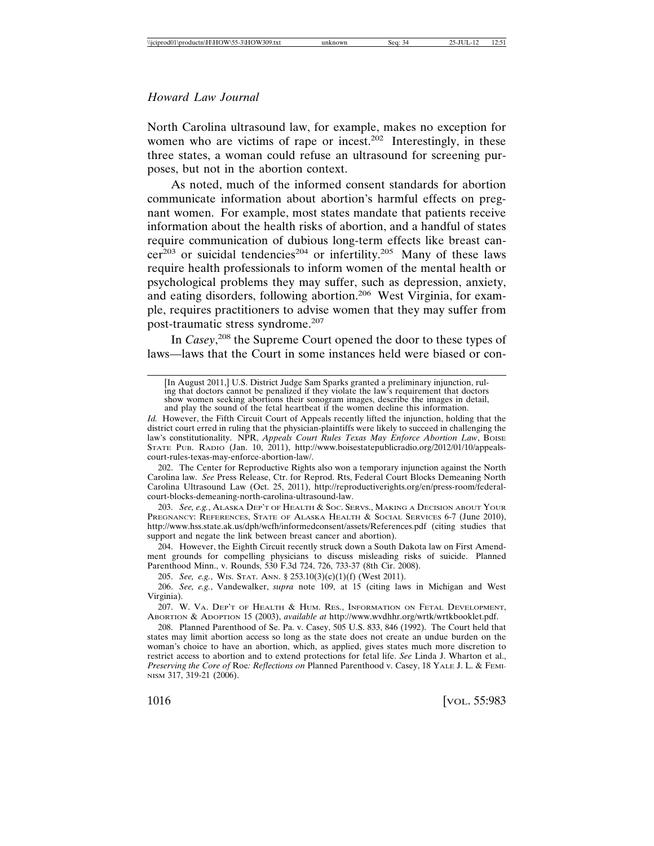North Carolina ultrasound law, for example, makes no exception for women who are victims of rape or incest.<sup>202</sup> Interestingly, in these three states, a woman could refuse an ultrasound for screening purposes, but not in the abortion context.

As noted, much of the informed consent standards for abortion communicate information about abortion's harmful effects on pregnant women. For example, most states mandate that patients receive information about the health risks of abortion, and a handful of states require communication of dubious long-term effects like breast can $cer<sup>203</sup>$  or suicidal tendencies<sup>204</sup> or infertility.<sup>205</sup> Many of these laws require health professionals to inform women of the mental health or psychological problems they may suffer, such as depression, anxiety, and eating disorders, following abortion.<sup>206</sup> West Virginia, for example, requires practitioners to advise women that they may suffer from post-traumatic stress syndrome.<sup>207</sup>

In *Casey*, 208 the Supreme Court opened the door to these types of laws—laws that the Court in some instances held were biased or con-

[In August 2011,] U.S. District Judge Sam Sparks granted a preliminary injunction, ruling that doctors cannot be penalized if they violate the law's requirement that doctors show women seeking abortions their sonogram images, describe the images in detail, and play the sound of the fetal heartbeat if the women decline this information.

*Id.* However, the Fifth Circuit Court of Appeals recently lifted the injunction, holding that the district court erred in ruling that the physician-plaintiffs were likely to succeed in challenging the law's constitutionality. NPR, *Appeals Court Rules Texas May Enforce Abortion Law*, BOISE STATE PUB. RADIO (Jan. 10, 2011), http://www.boisestatepublicradio.org/2012/01/10/appealscourt-rules-texas-may-enforce-abortion-law/.

202. The Center for Reproductive Rights also won a temporary injunction against the North Carolina law. *See* Press Release, Ctr. for Reprod. Rts, Federal Court Blocks Demeaning North Carolina Ultrasound Law (Oct. 25, 2011), http://reproductiverights.org/en/press-room/federalcourt-blocks-demeaning-north-carolina-ultrasound-law.

203. *See, e.g.*, ALASKA DEP'T OF HEALTH & SOC. SERVS., MAKING A DECISION ABOUT YOUR PREGNANCY: REFERENCES, STATE OF ALASKA HEALTH & SOCIAL SERVICES 6-7 (June 2010), http://www.hss.state.ak.us/dph/wcfh/informedconsent/assets/References.pdf (citing studies that support and negate the link between breast cancer and abortion).

204. However, the Eighth Circuit recently struck down a South Dakota law on First Amendment grounds for compelling physicians to discuss misleading risks of suicide. Planned Parenthood Minn., v. Rounds, 530 F.3d 724, 726, 733-37 (8th Cir. 2008).

205. *See, e.g.*, WIS. STAT. ANN. § 253.10(3)(c)(1)(f) (West 2011).

206. *See, e.g.*, Vandewalker, *supra* note 109, at 15 (citing laws in Michigan and West Virginia).

207. W. VA. DEP'T OF HEALTH & HUM. RES., INFORMATION ON FETAL DEVELOPMENT, ABORTION & ADOPTION 15 (2003), *available at* http://www.wvdhhr.org/wrtk/wrtkbooklet.pdf.

208. Planned Parenthood of Se. Pa. v. Casey, 505 U.S. 833, 846 (1992). The Court held that states may limit abortion access so long as the state does not create an undue burden on the woman's choice to have an abortion, which, as applied, gives states much more discretion to restrict access to abortion and to extend protections for fetal life. *See* Linda J. Wharton et al., *Preserving the Core of* Roe*: Reflections on* Planned Parenthood v. Casey, 18 YALE J. L. & FEMI-NISM 317, 319-21 (2006).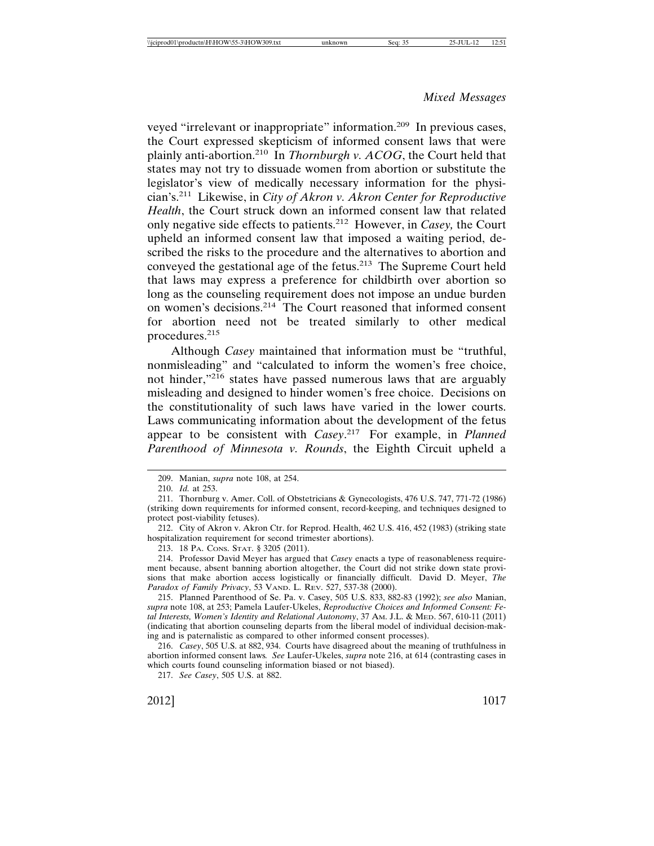veyed "irrelevant or inappropriate" information.209 In previous cases, the Court expressed skepticism of informed consent laws that were plainly anti-abortion.210 In *Thornburgh v. ACOG*, the Court held that states may not try to dissuade women from abortion or substitute the legislator's view of medically necessary information for the physician's.211 Likewise, in *City of Akron v. Akron Center for Reproductive Health*, the Court struck down an informed consent law that related only negative side effects to patients.212 However, in *Casey,* the Court upheld an informed consent law that imposed a waiting period, described the risks to the procedure and the alternatives to abortion and conveyed the gestational age of the fetus.<sup>213</sup> The Supreme Court held that laws may express a preference for childbirth over abortion so long as the counseling requirement does not impose an undue burden on women's decisions.214 The Court reasoned that informed consent for abortion need not be treated similarly to other medical procedures.<sup>215</sup>

Although *Casey* maintained that information must be "truthful, nonmisleading" and "calculated to inform the women's free choice, not hinder,"216 states have passed numerous laws that are arguably misleading and designed to hinder women's free choice. Decisions on the constitutionality of such laws have varied in the lower courts. Laws communicating information about the development of the fetus appear to be consistent with *Casey*. 217 For example, in *Planned Parenthood of Minnesota v. Rounds*, the Eighth Circuit upheld a

<sup>209.</sup> Manian, *supra* note 108, at 254.

<sup>210.</sup> *Id.* at 253.

<sup>211.</sup> Thornburg v. Amer. Coll. of Obstetricians & Gynecologists, 476 U.S. 747, 771-72 (1986) (striking down requirements for informed consent, record-keeping, and techniques designed to protect post-viability fetuses).

<sup>212.</sup> City of Akron v. Akron Ctr. for Reprod. Health, 462 U.S. 416, 452 (1983) (striking state hospitalization requirement for second trimester abortions).

<sup>213. 18</sup> PA. CONS. STAT. § 3205 (2011).

<sup>214.</sup> Professor David Meyer has argued that *Casey* enacts a type of reasonableness requirement because, absent banning abortion altogether, the Court did not strike down state provisions that make abortion access logistically or financially difficult. David D. Meyer, *The Paradox of Family Privacy*, 53 VAND. L. REV. 527, 537-38 (2000).

<sup>215.</sup> Planned Parenthood of Se. Pa. v. Casey, 505 U.S. 833, 882-83 (1992); *see also* Manian, *supra* note 108, at 253; Pamela Laufer-Ukeles, *Reproductive Choices and Informed Consent: Fetal Interests, Women's Identity and Relational Autonomy*, 37 AM. J.L. & MED. 567, 610-11 (2011) (indicating that abortion counseling departs from the liberal model of individual decision-making and is paternalistic as compared to other informed consent processes).

<sup>216.</sup> *Casey*, 505 U.S. at 882, 934. Courts have disagreed about the meaning of truthfulness in abortion informed consent laws*. See* Laufer-Ukeles, *supra* note 216, at 614 (contrasting cases in which courts found counseling information biased or not biased).

<sup>217.</sup> *See Casey*, 505 U.S. at 882.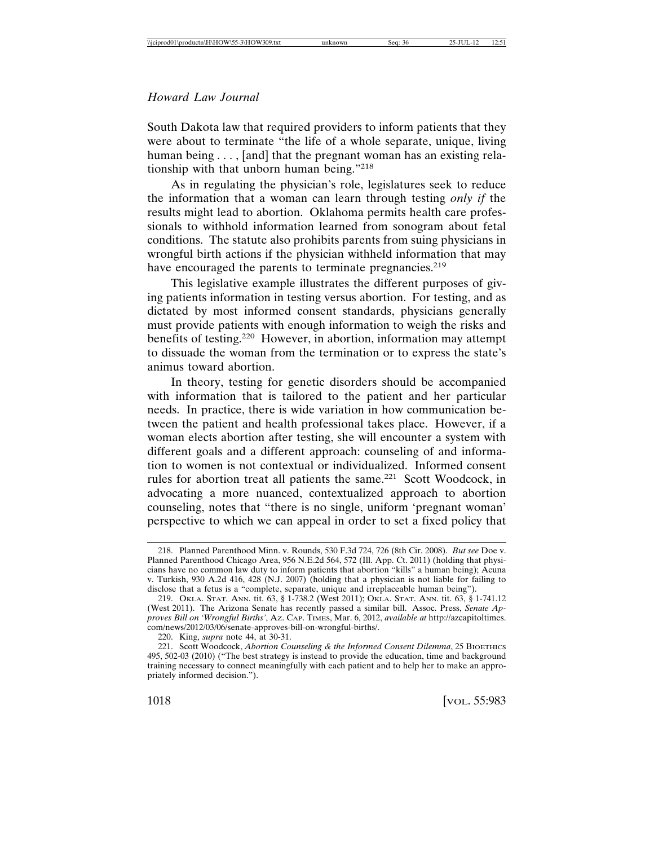South Dakota law that required providers to inform patients that they were about to terminate "the life of a whole separate, unique, living human being . . . , [and] that the pregnant woman has an existing relationship with that unborn human being."<sup>218</sup>

As in regulating the physician's role, legislatures seek to reduce the information that a woman can learn through testing *only if* the results might lead to abortion. Oklahoma permits health care professionals to withhold information learned from sonogram about fetal conditions. The statute also prohibits parents from suing physicians in wrongful birth actions if the physician withheld information that may have encouraged the parents to terminate pregnancies.<sup>219</sup>

This legislative example illustrates the different purposes of giving patients information in testing versus abortion. For testing, and as dictated by most informed consent standards, physicians generally must provide patients with enough information to weigh the risks and benefits of testing.220 However, in abortion, information may attempt to dissuade the woman from the termination or to express the state's animus toward abortion.

In theory, testing for genetic disorders should be accompanied with information that is tailored to the patient and her particular needs. In practice, there is wide variation in how communication between the patient and health professional takes place. However, if a woman elects abortion after testing, she will encounter a system with different goals and a different approach: counseling of and information to women is not contextual or individualized. Informed consent rules for abortion treat all patients the same.<sup>221</sup> Scott Woodcock, in advocating a more nuanced, contextualized approach to abortion counseling, notes that "there is no single, uniform 'pregnant woman' perspective to which we can appeal in order to set a fixed policy that

220. King, *supra* note 44, at 30-31.

<sup>218.</sup> Planned Parenthood Minn. v. Rounds, 530 F.3d 724, 726 (8th Cir. 2008). *But see* Doe v. Planned Parenthood Chicago Area, 956 N.E.2d 564, 572 (Ill. App. Ct. 2011) (holding that physicians have no common law duty to inform patients that abortion "kills" a human being); Acuna v. Turkish, 930 A.2d 416, 428 (N.J. 2007) (holding that a physician is not liable for failing to disclose that a fetus is a "complete, separate, unique and irreplaceable human being").

<sup>219.</sup> OKLA. STAT. ANN. tit. 63, § 1-738.2 (West 2011); OKLA. STAT. ANN. tit. 63, § 1-741.12 (West 2011). The Arizona Senate has recently passed a similar bill. Assoc. Press, *Senate Approves Bill on 'Wrongful Births'*, AZ. CAP. TIMES, Mar. 6, 2012, *available at* http://azcapitoltimes. com/news/2012/03/06/senate-approves-bill-on-wrongful-births/.

<sup>221.</sup> Scott Woodcock, *Abortion Counseling & the Informed Consent Dilemma*, 25 BIOETHICS 495, 502-03 (2010) ("The best strategy is instead to provide the education, time and background training necessary to connect meaningfully with each patient and to help her to make an appropriately informed decision.").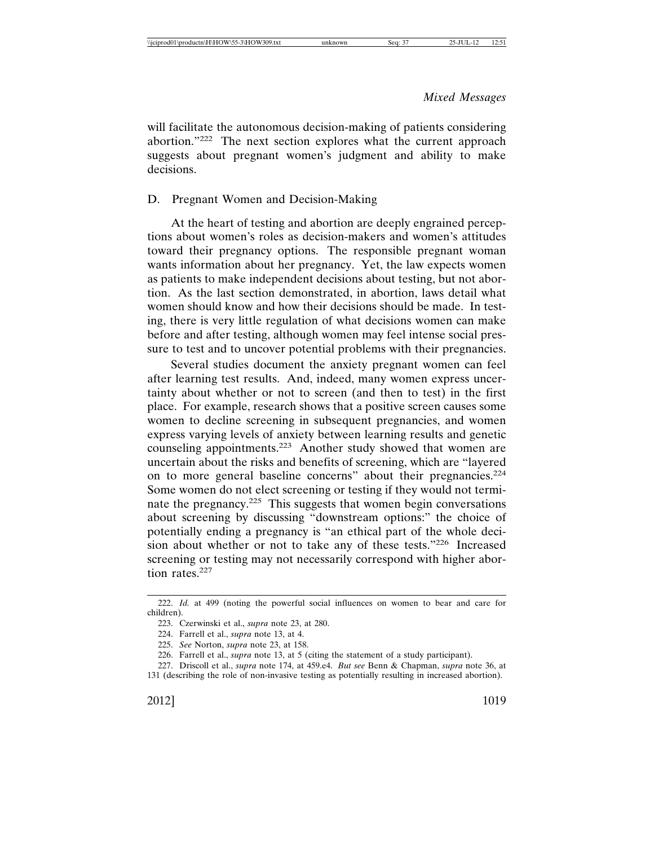will facilitate the autonomous decision-making of patients considering abortion."222 The next section explores what the current approach suggests about pregnant women's judgment and ability to make decisions.

# D. Pregnant Women and Decision-Making

At the heart of testing and abortion are deeply engrained perceptions about women's roles as decision-makers and women's attitudes toward their pregnancy options. The responsible pregnant woman wants information about her pregnancy. Yet, the law expects women as patients to make independent decisions about testing, but not abortion. As the last section demonstrated, in abortion, laws detail what women should know and how their decisions should be made. In testing, there is very little regulation of what decisions women can make before and after testing, although women may feel intense social pressure to test and to uncover potential problems with their pregnancies.

Several studies document the anxiety pregnant women can feel after learning test results. And, indeed, many women express uncertainty about whether or not to screen (and then to test) in the first place. For example, research shows that a positive screen causes some women to decline screening in subsequent pregnancies, and women express varying levels of anxiety between learning results and genetic counseling appointments.<sup>223</sup> Another study showed that women are uncertain about the risks and benefits of screening, which are "layered on to more general baseline concerns" about their pregnancies.<sup>224</sup> Some women do not elect screening or testing if they would not terminate the pregnancy.225 This suggests that women begin conversations about screening by discussing "downstream options:" the choice of potentially ending a pregnancy is "an ethical part of the whole decision about whether or not to take any of these tests."226 Increased screening or testing may not necessarily correspond with higher abortion rates.<sup>227</sup>

<sup>222.</sup> *Id.* at 499 (noting the powerful social influences on women to bear and care for children).

<sup>223.</sup> Czerwinski et al., *supra* note 23, at 280.

<sup>224.</sup> Farrell et al., *supra* note 13, at 4.

<sup>225.</sup> *See* Norton, *supra* note 23, at 158.

<sup>226.</sup> Farrell et al., *supra* note 13, at 5 (citing the statement of a study participant).

<sup>227.</sup> Driscoll et al., *supra* note 174, at 459.e4. *But see* Benn & Chapman, *supra* note 36, at 131 (describing the role of non-invasive testing as potentially resulting in increased abortion).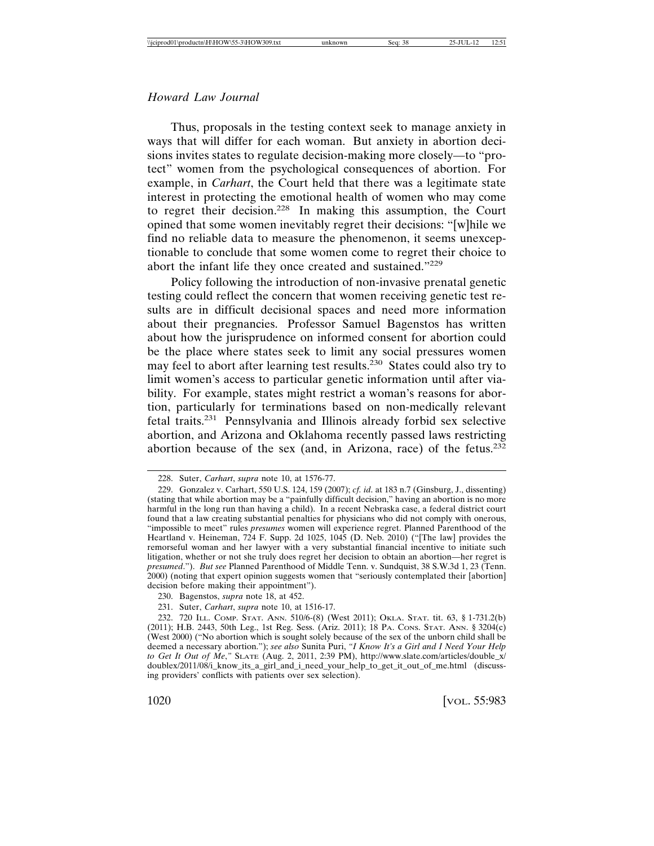#### *Howard Law Journal*

Thus, proposals in the testing context seek to manage anxiety in ways that will differ for each woman. But anxiety in abortion decisions invites states to regulate decision-making more closely—to "protect" women from the psychological consequences of abortion. For example, in *Carhart*, the Court held that there was a legitimate state interest in protecting the emotional health of women who may come to regret their decision.228 In making this assumption, the Court opined that some women inevitably regret their decisions: "[w]hile we find no reliable data to measure the phenomenon, it seems unexceptionable to conclude that some women come to regret their choice to abort the infant life they once created and sustained."<sup>229</sup>

Policy following the introduction of non-invasive prenatal genetic testing could reflect the concern that women receiving genetic test results are in difficult decisional spaces and need more information about their pregnancies. Professor Samuel Bagenstos has written about how the jurisprudence on informed consent for abortion could be the place where states seek to limit any social pressures women may feel to abort after learning test results.<sup>230</sup> States could also try to limit women's access to particular genetic information until after viability. For example, states might restrict a woman's reasons for abortion, particularly for terminations based on non-medically relevant fetal traits.231 Pennsylvania and Illinois already forbid sex selective abortion, and Arizona and Oklahoma recently passed laws restricting abortion because of the sex (and, in Arizona, race) of the fetus.<sup>232</sup>

<sup>228.</sup> Suter, *Carhart*, *supra* note 10, at 1576-77.

<sup>229.</sup> Gonzalez v. Carhart, 550 U.S. 124, 159 (2007); *cf. id*. at 183 n.7 (Ginsburg, J., dissenting) (stating that while abortion may be a "painfully difficult decision," having an abortion is no more harmful in the long run than having a child). In a recent Nebraska case, a federal district court found that a law creating substantial penalties for physicians who did not comply with onerous, "impossible to meet" rules *presumes* women will experience regret. Planned Parenthood of the Heartland v. Heineman, 724 F. Supp. 2d 1025, 1045 (D. Neb. 2010) ("[The law] provides the remorseful woman and her lawyer with a very substantial financial incentive to initiate such litigation, whether or not she truly does regret her decision to obtain an abortion—her regret is *presumed*."). *But see* Planned Parenthood of Middle Tenn. v. Sundquist, 38 S.W.3d 1, 23 (Tenn. 2000) (noting that expert opinion suggests women that "seriously contemplated their [abortion] decision before making their appointment").

<sup>230.</sup> Bagenstos, *supra* note 18, at 452.

<sup>231.</sup> Suter, *Carhart*, *supra* note 10, at 1516-17.

<sup>232. 720</sup> ILL. COMP. STAT. ANN. 510/6-(8) (West 2011); OKLA. STAT. tit. 63, § 1-731.2(b) (2011); H.B. 2443, 50th Leg., 1st Reg. Sess. (Ariz. 2011); 18 PA. CONS. STAT. ANN. § 3204(c) (West 2000) ("No abortion which is sought solely because of the sex of the unborn child shall be deemed a necessary abortion."); *see also* Sunita Puri, *"I Know It's a Girl and I Need Your Help to Get It Out of Me*,*"* SLATE (Aug. 2, 2011, 2:39 PM), http://www.slate.com/articles/double\_x/ doublex/2011/08/i\_know\_its\_a\_girl\_and\_i\_need\_your\_help\_to\_get\_it\_out\_of\_me.html (discussing providers' conflicts with patients over sex selection).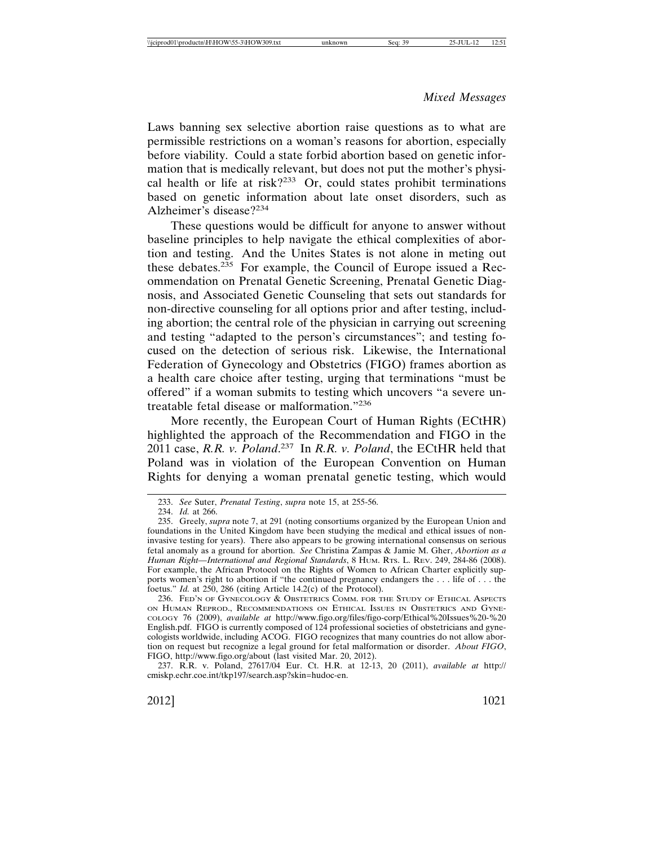Laws banning sex selective abortion raise questions as to what are permissible restrictions on a woman's reasons for abortion, especially before viability. Could a state forbid abortion based on genetic information that is medically relevant, but does not put the mother's physical health or life at risk?<sup>233</sup> Or, could states prohibit terminations based on genetic information about late onset disorders, such as Alzheimer's disease?<sup>234</sup>

These questions would be difficult for anyone to answer without baseline principles to help navigate the ethical complexities of abortion and testing. And the Unites States is not alone in meting out these debates.235 For example, the Council of Europe issued a Recommendation on Prenatal Genetic Screening, Prenatal Genetic Diagnosis, and Associated Genetic Counseling that sets out standards for non-directive counseling for all options prior and after testing, including abortion; the central role of the physician in carrying out screening and testing "adapted to the person's circumstances"; and testing focused on the detection of serious risk. Likewise, the International Federation of Gynecology and Obstetrics (FIGO) frames abortion as a health care choice after testing, urging that terminations "must be offered" if a woman submits to testing which uncovers "a severe untreatable fetal disease or malformation."<sup>236</sup>

More recently, the European Court of Human Rights (ECtHR) highlighted the approach of the Recommendation and FIGO in the 2011 case, *R.R. v. Poland*. 237 In *R.R. v. Poland*, the ECtHR held that Poland was in violation of the European Convention on Human Rights for denying a woman prenatal genetic testing, which would

<sup>233.</sup> *See* Suter, *Prenatal Testing*, *supra* note 15, at 255-56.

<sup>234.</sup> *Id.* at 266.

<sup>235.</sup> Greely, *supra* note 7, at 291 (noting consortiums organized by the European Union and foundations in the United Kingdom have been studying the medical and ethical issues of noninvasive testing for years). There also appears to be growing international consensus on serious fetal anomaly as a ground for abortion. *See* Christina Zampas & Jamie M. Gher, *Abortion as a Human Right—International and Regional Standards*, 8 HUM. RTS. L. REV. 249, 284-86 (2008). For example, the African Protocol on the Rights of Women to African Charter explicitly supports women's right to abortion if "the continued pregnancy endangers the . . . life of . . . the foetus." *Id.* at 250, 286 (citing Article 14.2(c) of the Protocol).

<sup>236.</sup> FED'N OF GYNECOLOGY & OBSTETRICS COMM. FOR THE STUDY OF ETHICAL ASPECTS ON HUMAN REPROD., RECOMMENDATIONS ON ETHICAL ISSUES IN OBSTETRICS AND GYNE-COLOGY 76 (2009), *available at* http://www.figo.org/files/figo-corp/Ethical%20Issues%20-%20 English.pdf. FIGO is currently composed of 124 professional societies of obstetricians and gynecologists worldwide, including ACOG. FIGO recognizes that many countries do not allow abortion on request but recognize a legal ground for fetal malformation or disorder. *About FIGO*, FIGO, http://www.figo.org/about (last visited Mar. 20, 2012).

<sup>237.</sup> R.R. v. Poland, 27617/04 Eur. Ct. H.R. at 12-13, 20 (2011), *available at* http:// cmiskp.echr.coe.int/tkp197/search.asp?skin=hudoc-en.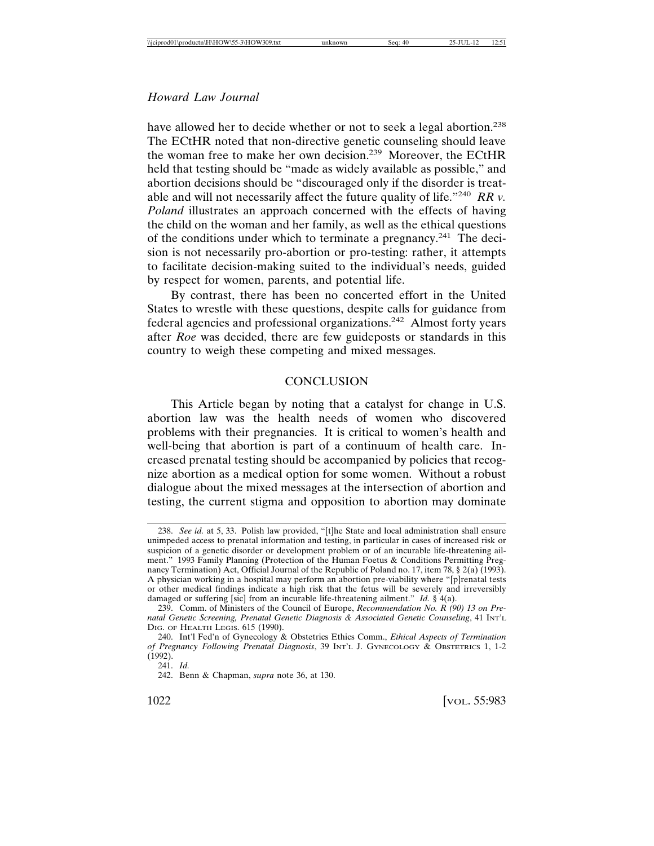#### *Howard Law Journal*

have allowed her to decide whether or not to seek a legal abortion.<sup>238</sup> The ECtHR noted that non-directive genetic counseling should leave the woman free to make her own decision.239 Moreover, the ECtHR held that testing should be "made as widely available as possible," and abortion decisions should be "discouraged only if the disorder is treatable and will not necessarily affect the future quality of life."<sup>240</sup> *RR v. Poland* illustrates an approach concerned with the effects of having the child on the woman and her family, as well as the ethical questions of the conditions under which to terminate a pregnancy.<sup>241</sup> The decision is not necessarily pro-abortion or pro-testing: rather, it attempts to facilitate decision-making suited to the individual's needs, guided by respect for women, parents, and potential life.

By contrast, there has been no concerted effort in the United States to wrestle with these questions, despite calls for guidance from federal agencies and professional organizations.242 Almost forty years after *Roe* was decided, there are few guideposts or standards in this country to weigh these competing and mixed messages.

#### **CONCLUSION**

This Article began by noting that a catalyst for change in U.S. abortion law was the health needs of women who discovered problems with their pregnancies. It is critical to women's health and well-being that abortion is part of a continuum of health care. Increased prenatal testing should be accompanied by policies that recognize abortion as a medical option for some women. Without a robust dialogue about the mixed messages at the intersection of abortion and testing, the current stigma and opposition to abortion may dominate

<sup>238.</sup> *See id.* at 5, 33. Polish law provided, "[t]he State and local administration shall ensure unimpeded access to prenatal information and testing, in particular in cases of increased risk or suspicion of a genetic disorder or development problem or of an incurable life-threatening ailment." 1993 Family Planning (Protection of the Human Foetus & Conditions Permitting Pregnancy Termination) Act, Official Journal of the Republic of Poland no. 17, item 78, § 2(a) (1993). A physician working in a hospital may perform an abortion pre-viability where "[p]renatal tests or other medical findings indicate a high risk that the fetus will be severely and irreversibly damaged or suffering [sic] from an incurable life-threatening ailment." *Id.* § 4(a).

<sup>239.</sup> Comm. of Ministers of the Council of Europe, *Recommendation No. R (90) 13 on Prenatal Genetic Screening, Prenatal Genetic Diagnosis & Associated Genetic Counseling*, 41 INT'L DIG. OF HEALTH LEGIS. 615 (1990).

<sup>240.</sup> Int'l Fed'n of Gynecology & Obstetrics Ethics Comm., *Ethical Aspects of Termination of Pregnancy Following Prenatal Diagnosis*, 39 INT'L J. GYNECOLOGY & OBSTETRICS 1, 1-2 (1992).

<sup>241.</sup> *Id.*

<sup>242.</sup> Benn & Chapman, *supra* note 36, at 130.